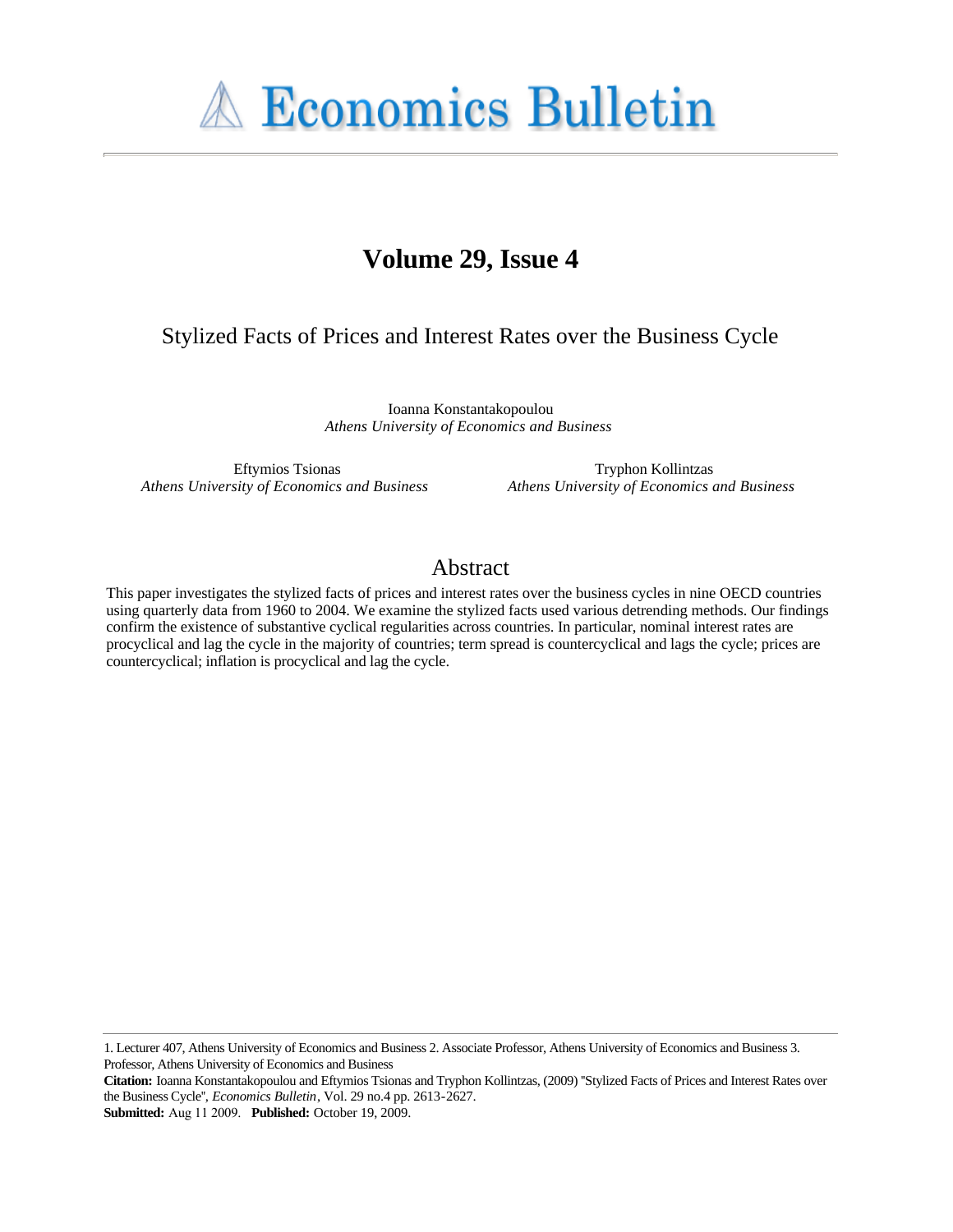**A Economics Bulletin** 

# **Volume 29, Issue 4**

# Stylized Facts of Prices and Interest Rates over the Business Cycle

Ioanna Konstantakopoulou *Athens University of Economics and Business*

Eftymios Tsionas *Athens University of Economics and Business*

Tryphon Kollintzas *Athens University of Economics and Business*

# Abstract

This paper investigates the stylized facts of prices and interest rates over the business cycles in nine OECD countries using quarterly data from 1960 to 2004. We examine the stylized facts used various detrending methods. Our findings confirm the existence of substantive cyclical regularities across countries. In particular, nominal interest rates are procyclical and lag the cycle in the majority of countries; term spread is countercyclical and lags the cycle; prices are countercyclical; inflation is procyclical and lag the cycle.

1. Lecturer 407, Athens University of Economics and Business 2. Associate Professor, Athens University of Economics and Business 3. Professor, Athens University of Economics and Business

**Submitted:** Aug 11 2009. **Published:** October 19, 2009.

**Citation:** Ioanna Konstantakopoulou and Eftymios Tsionas and Tryphon Kollintzas, (2009) ''Stylized Facts of Prices and Interest Rates over the Business Cycle'', *Economics Bulletin*, Vol. 29 no.4 pp. 2613-2627.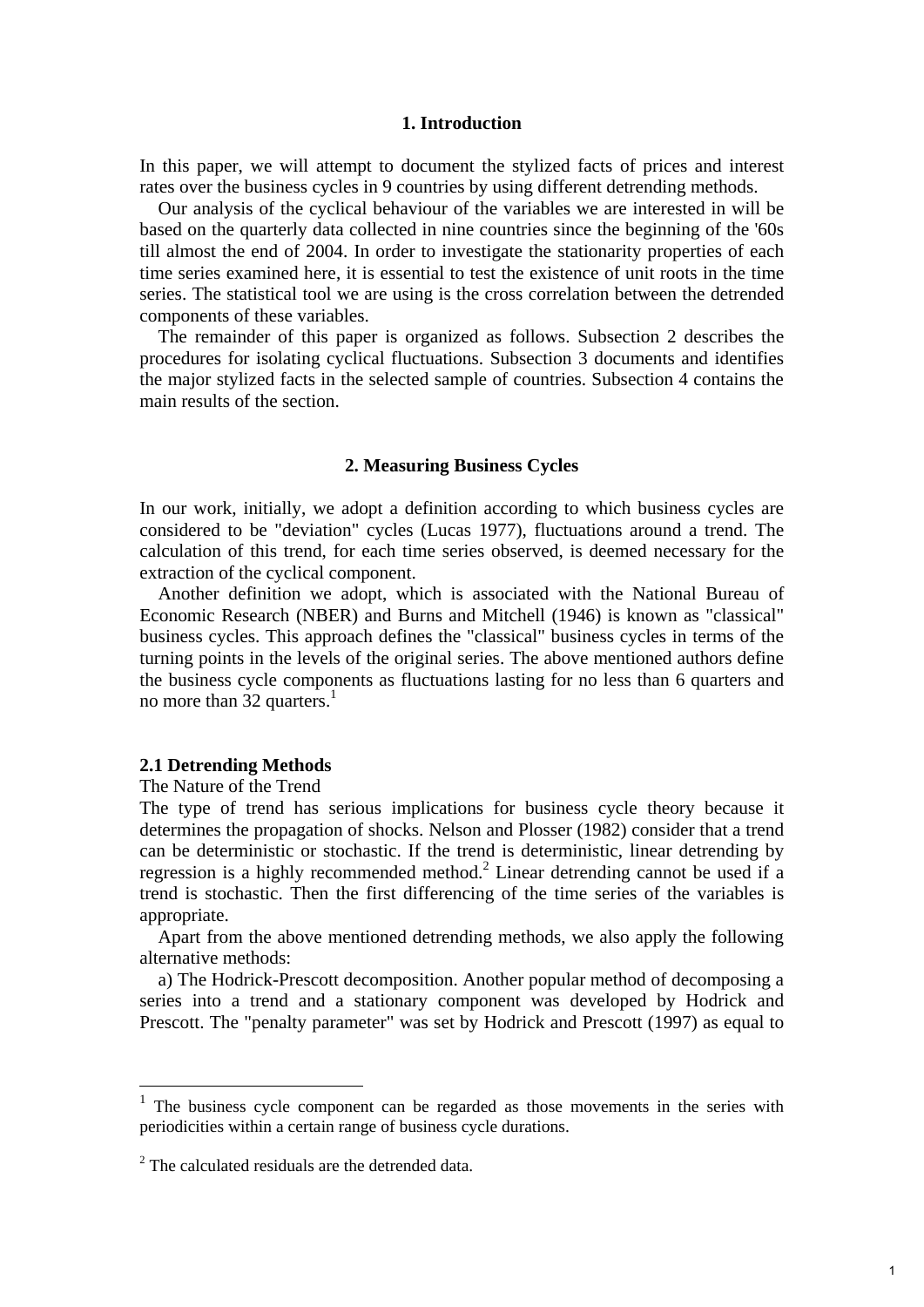## **1. Introduction**

In this paper, we will attempt to document the stylized facts of prices and interest rates over the business cycles in 9 countries by using different detrending methods.

 Our analysis of the cyclical behaviour of the variables we are interested in will be based on the quarterly data collected in nine countries since the beginning of the '60s till almost the end of 2004. In order to investigate the stationarity properties of each time series examined here, it is essential to test the existence of unit roots in the time series. The statistical tool we are using is the cross correlation between the detrended components of these variables.

 The remainder of this paper is organized as follows. Subsection 2 describes the procedures for isolating cyclical fluctuations. Subsection 3 documents and identifies the major stylized facts in the selected sample of countries. Subsection 4 contains the main results of the section.

#### **2. Measuring Business Cycles**

In our work, initially, we adopt a definition according to which business cycles are considered to be "deviation" cycles (Lucas 1977), fluctuations around a trend. The calculation of this trend, for each time series observed, is deemed necessary for the extraction of the cyclical component.

 Another definition we adopt, which is associated with the National Bureau of Economic Research (NBER) and Burns and Mitchell (1946) is known as "classical" business cycles. This approach defines the "classical" business cycles in terms of the turning points in the levels of the original series. The above mentioned authors define the business cycle components as fluctuations lasting for no less than 6 quarters and no more than 32 quarters. $<sup>1</sup>$ </sup>

# **2.1 Detrending Methods**

The Nature of the Trend

1

The type of trend has serious implications for business cycle theory because it determines the propagation of shocks. Nelson and Plosser (1982) consider that a trend can be deterministic or stochastic. If the trend is deterministic, linear detrending by regression is a highly recommended method.<sup>2</sup> Linear detrending cannot be used if a trend is stochastic. Then the first differencing of the time series of the variables is appropriate.

 Apart from the above mentioned detrending methods, we also apply the following alternative methods:

 a) The Hodrick-Prescott decomposition. Another popular method of decomposing a series into a trend and a stationary component was developed by Hodrick and Prescott. The "penalty parameter" was set by Hodrick and Prescott (1997) as equal to

<sup>&</sup>lt;sup>1</sup> The business cycle component can be regarded as those movements in the series with periodicities within a certain range of business cycle durations.

 $2$  The calculated residuals are the detrended data.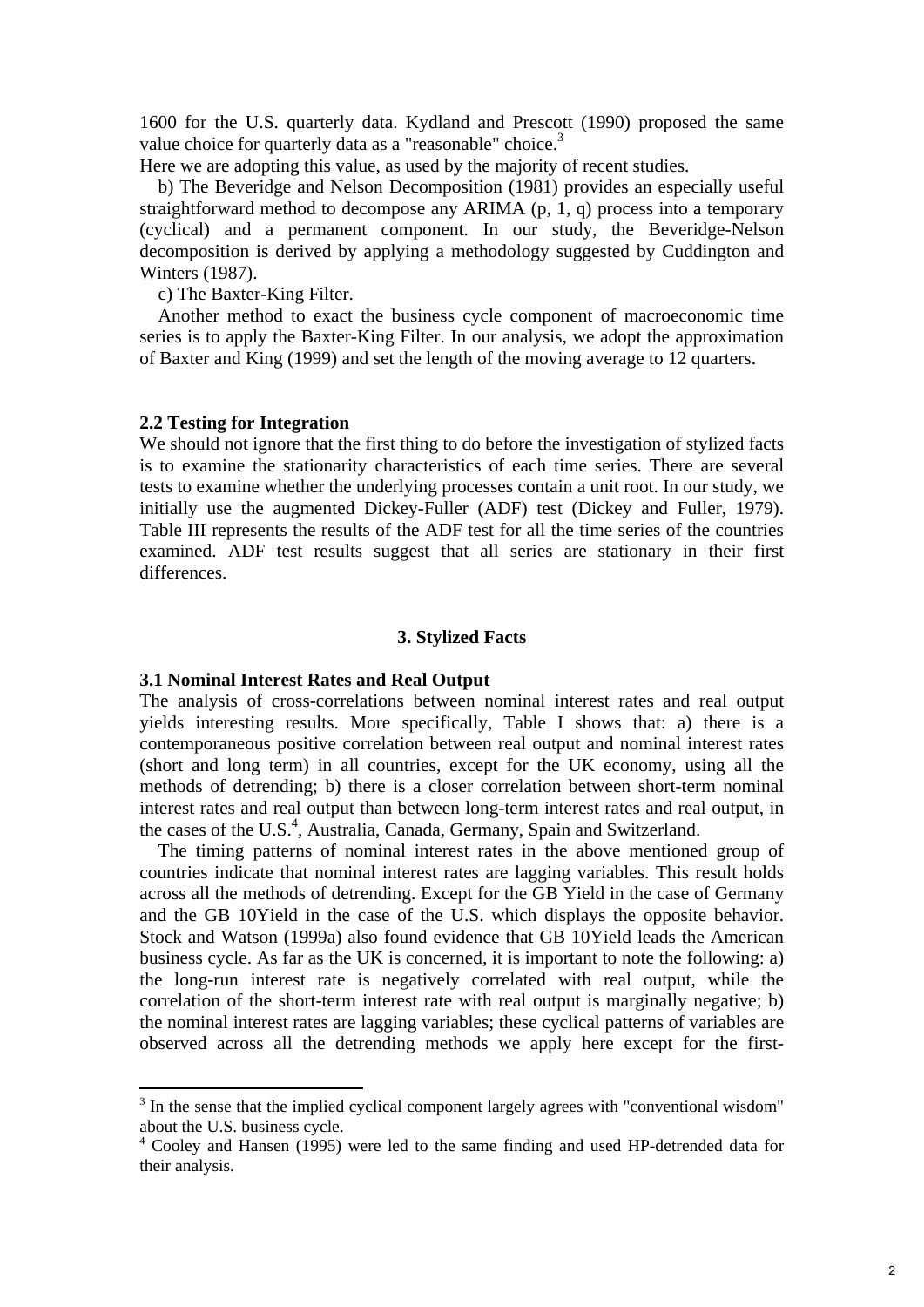1600 for the U.S. quarterly data. Kydland and Prescott (1990) proposed the same value choice for quarterly data as a "reasonable" choice.<sup>3</sup>

Here we are adopting this value, as used by the majority of recent studies.

 b) The Beveridge and Nelson Decomposition (1981) provides an especially useful straightforward method to decompose any ARIMA (p, 1, q) process into a temporary (cyclical) and a permanent component. In our study, the Beveridge-Nelson decomposition is derived by applying a methodology suggested by Cuddington and Winters (1987).

c) The Baxter-King Filter.

 Another method to exact the business cycle component of macroeconomic time series is to apply the Baxter-King Filter. In our analysis, we adopt the approximation of Baxter and King (1999) and set the length of the moving average to 12 quarters.

#### **2.2 Testing for Integration**

We should not ignore that the first thing to do before the investigation of stylized facts is to examine the stationarity characteristics of each time series. There are several tests to examine whether the underlying processes contain a unit root. In our study, we initially use the augmented Dickey-Fuller (ADF) test (Dickey and Fuller, 1979). Table III represents the results of the ADF test for all the time series of the countries examined. ADF test results suggest that all series are stationary in their first differences.

# **3. Stylized Facts**

### **3.1 Nominal Interest Rates and Real Output**

The analysis of cross-correlations between nominal interest rates and real output yields interesting results. More specifically, Table I shows that: a) there is a contemporaneous positive correlation between real output and nominal interest rates (short and long term) in all countries, except for the UK economy, using all the methods of detrending; b) there is a closer correlation between short-term nominal interest rates and real output than between long-term interest rates and real output, in the cases of the U.S.<sup>4</sup>, Australia, Canada, Germany, Spain and Switzerland.

 The timing patterns of nominal interest rates in the above mentioned group of countries indicate that nominal interest rates are lagging variables. This result holds across all the methods of detrending. Except for the GB Yield in the case of Germany and the GB 10Yield in the case of the U.S. which displays the opposite behavior. Stock and Watson (1999a) also found evidence that GB 10Yield leads the American business cycle. As far as the UK is concerned, it is important to note the following: a) the long-run interest rate is negatively correlated with real output, while the correlation of the short-term interest rate with real output is marginally negative; b) the nominal interest rates are lagging variables; these cyclical patterns of variables are observed across all the detrending methods we apply here except for the first-

<sup>&</sup>lt;sup>3</sup> In the sense that the implied cyclical component largely agrees with "conventional wisdom" about the U.S. business cycle.

<sup>&</sup>lt;sup>4</sup> Cooley and Hansen (1995) were led to the same finding and used HP-detrended data for their analysis.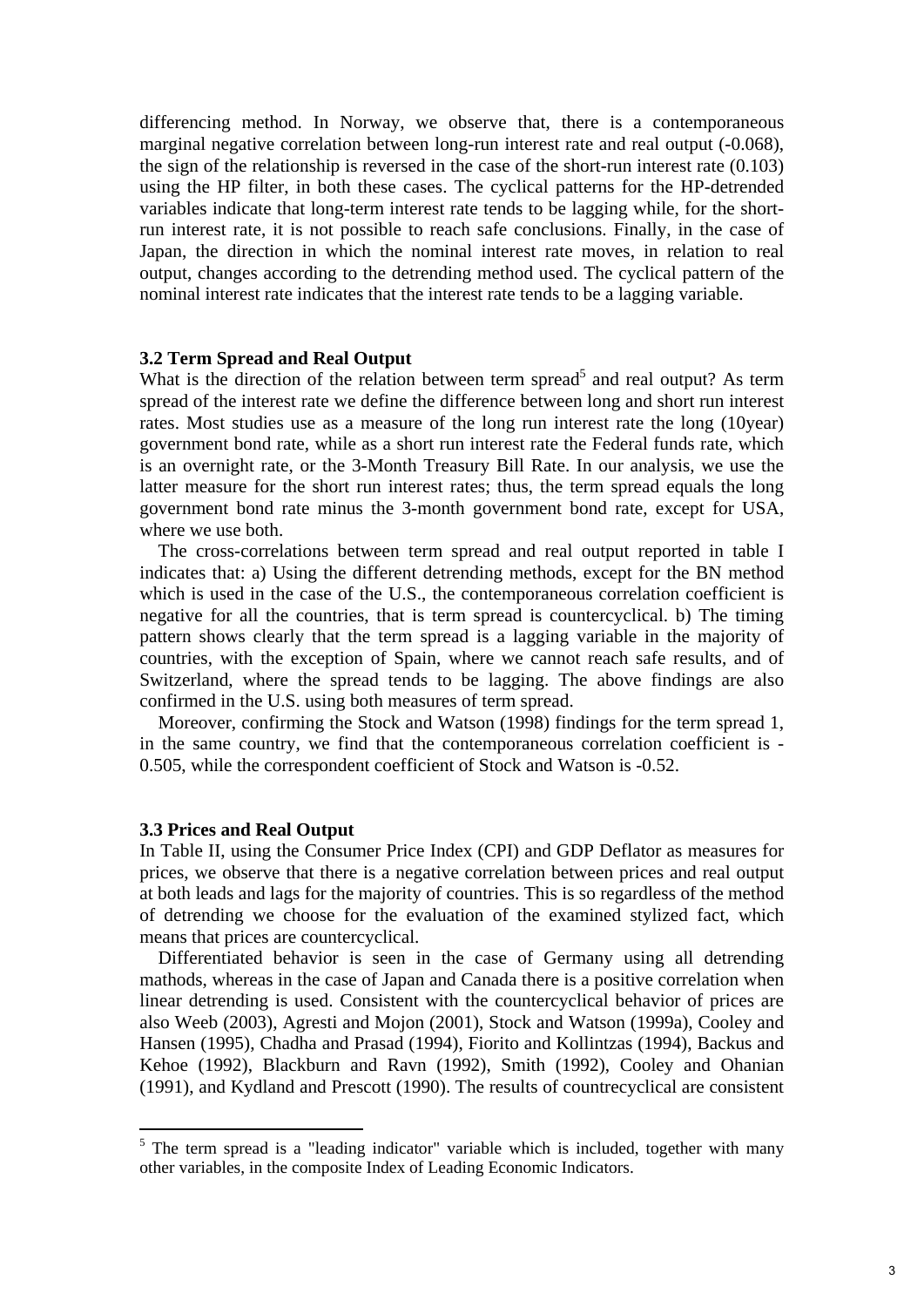differencing method. In Norway, we observe that, there is a contemporaneous marginal negative correlation between long-run interest rate and real output (-0.068), the sign of the relationship is reversed in the case of the short-run interest rate (0.103) using the HP filter, in both these cases. The cyclical patterns for the HP-detrended variables indicate that long-term interest rate tends to be lagging while, for the shortrun interest rate, it is not possible to reach safe conclusions. Finally, in the case of Japan, the direction in which the nominal interest rate moves, in relation to real output, changes according to the detrending method used. The cyclical pattern of the nominal interest rate indicates that the interest rate tends to be a lagging variable.

# **3.2 Term Spread and Real Output**

What is the direction of the relation between term spread<sup>5</sup> and real output? As term spread of the interest rate we define the difference between long and short run interest rates. Most studies use as a measure of the long run interest rate the long (10year) government bond rate, while as a short run interest rate the Federal funds rate, which is an overnight rate, or the 3-Month Treasury Bill Rate. In our analysis, we use the latter measure for the short run interest rates; thus, the term spread equals the long government bond rate minus the 3-month government bond rate, except for USA, where we use both.

 The cross-correlations between term spread and real output reported in table I indicates that: a) Using the different detrending methods, except for the BN method which is used in the case of the U.S., the contemporaneous correlation coefficient is negative for all the countries, that is term spread is countercyclical. b) The timing pattern shows clearly that the term spread is a lagging variable in the majority of countries, with the exception of Spain, where we cannot reach safe results, and of Switzerland, where the spread tends to be lagging. The above findings are also confirmed in the U.S. using both measures of term spread.

 Moreover, confirming the Stock and Watson (1998) findings for the term spread 1, in the same country, we find that the contemporaneous correlation coefficient is - 0.505, while the correspondent coefficient of Stock and Watson is -0.52.

### **3.3 Prices and Real Output**

1

In Table II, using the Consumer Price Index (CPI) and GDP Deflator as measures for prices, we observe that there is a negative correlation between prices and real output at both leads and lags for the majority of countries. This is so regardless of the method of detrending we choose for the evaluation of the examined stylized fact, which means that prices are countercyclical.

 Differentiated behavior is seen in the case of Germany using all detrending mathods, whereas in the case of Japan and Canada there is a positive correlation when linear detrending is used. Consistent with the countercyclical behavior of prices are also Weeb (2003), Agresti and Mojon (2001), Stock and Watson (1999a), Cooley and Hansen (1995), Chadha and Prasad (1994), Fiorito and Kollintzas (1994), Backus and Kehoe (1992), Blackburn and Ravn (1992), Smith (1992), Cooley and Ohanian (1991), and Kydland and Prescott (1990). The results of countrecyclical are consistent

 $5$  The term spread is a "leading indicator" variable which is included, together with many other variables, in the composite Index of Leading Economic Indicators.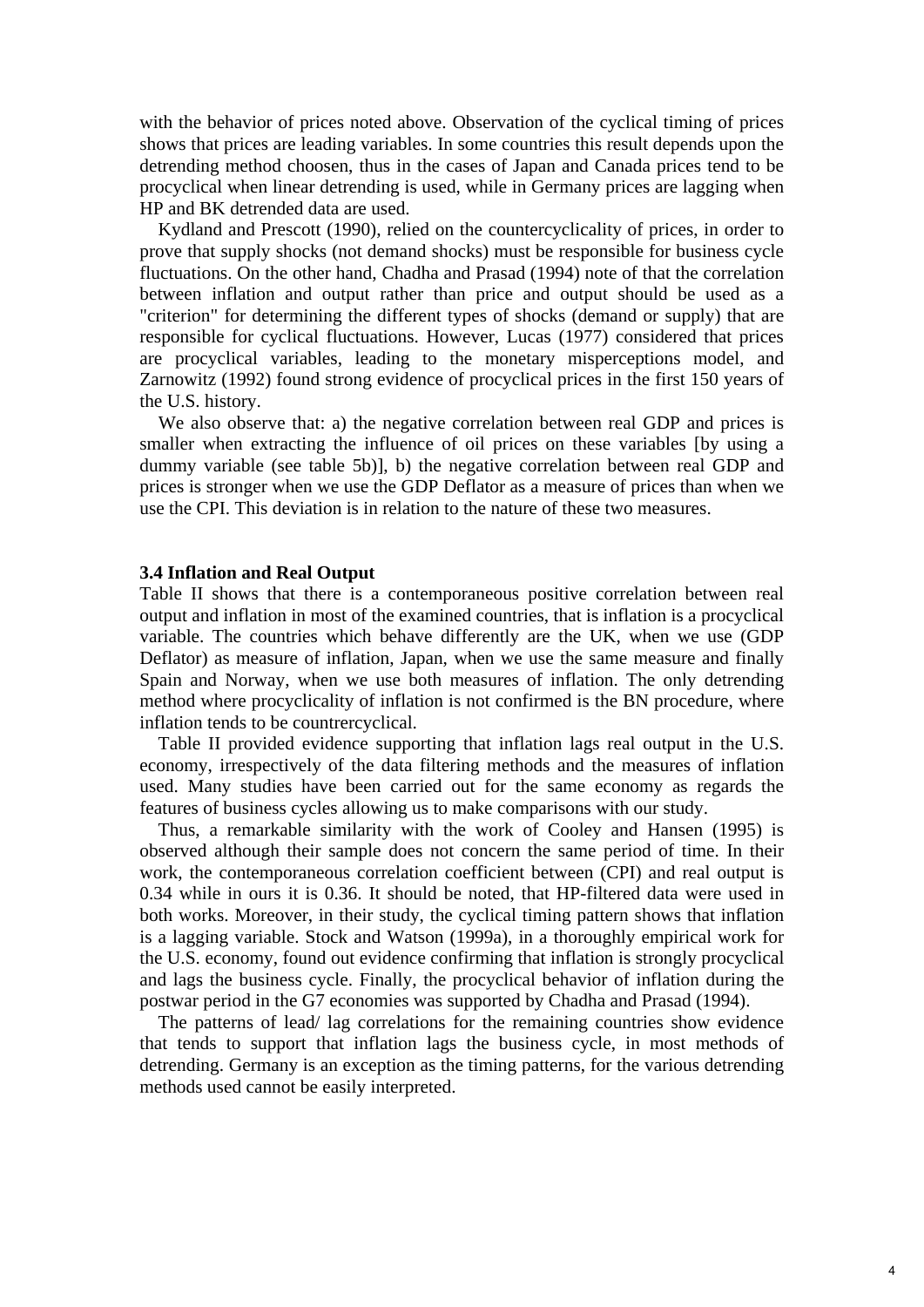with the behavior of prices noted above. Observation of the cyclical timing of prices shows that prices are leading variables. In some countries this result depends upon the detrending method choosen, thus in the cases of Japan and Canada prices tend to be procyclical when linear detrending is used, while in Germany prices are lagging when HP and BK detrended data are used.

 Kydland and Prescott (1990), relied on the countercyclicality of prices, in order to prove that supply shocks (not demand shocks) must be responsible for business cycle fluctuations. On the other hand, Chadha and Prasad (1994) note of that the correlation between inflation and output rather than price and output should be used as a "criterion" for determining the different types of shocks (demand or supply) that are responsible for cyclical fluctuations. However, Lucas (1977) considered that prices are procyclical variables, leading to the monetary misperceptions model, and Zarnowitz (1992) found strong evidence of procyclical prices in the first 150 years of the U.S. history.

We also observe that: a) the negative correlation between real GDP and prices is smaller when extracting the influence of oil prices on these variables [by using a dummy variable (see table 5b)], b) the negative correlation between real GDP and prices is stronger when we use the GDP Deflator as a measure of prices than when we use the CPI. This deviation is in relation to the nature of these two measures.

#### **3.4 Inflation and Real Output**

Table II shows that there is a contemporaneous positive correlation between real output and inflation in most of the examined countries, that is inflation is a procyclical variable. The countries which behave differently are the UK, when we use (GDP Deflator) as measure of inflation, Japan, when we use the same measure and finally Spain and Norway, when we use both measures of inflation. The only detrending method where procyclicality of inflation is not confirmed is the BN procedure, where inflation tends to be countrercyclical.

 Table II provided evidence supporting that inflation lags real output in the U.S. economy, irrespectively of the data filtering methods and the measures of inflation used. Many studies have been carried out for the same economy as regards the features of business cycles allowing us to make comparisons with our study.

 Thus, a remarkable similarity with the work of Cooley and Hansen (1995) is observed although their sample does not concern the same period of time. In their work, the contemporaneous correlation coefficient between (CPI) and real output is 0.34 while in ours it is 0.36. It should be noted, that HP-filtered data were used in both works. Moreover, in their study, the cyclical timing pattern shows that inflation is a lagging variable. Stock and Watson (1999a), in a thoroughly empirical work for the U.S. economy, found out evidence confirming that inflation is strongly procyclical and lags the business cycle. Finally, the procyclical behavior of inflation during the postwar period in the G7 economies was supported by Chadha and Prasad (1994).

 The patterns of lead/ lag correlations for the remaining countries show evidence that tends to support that inflation lags the business cycle, in most methods of detrending. Germany is an exception as the timing patterns, for the various detrending methods used cannot be easily interpreted.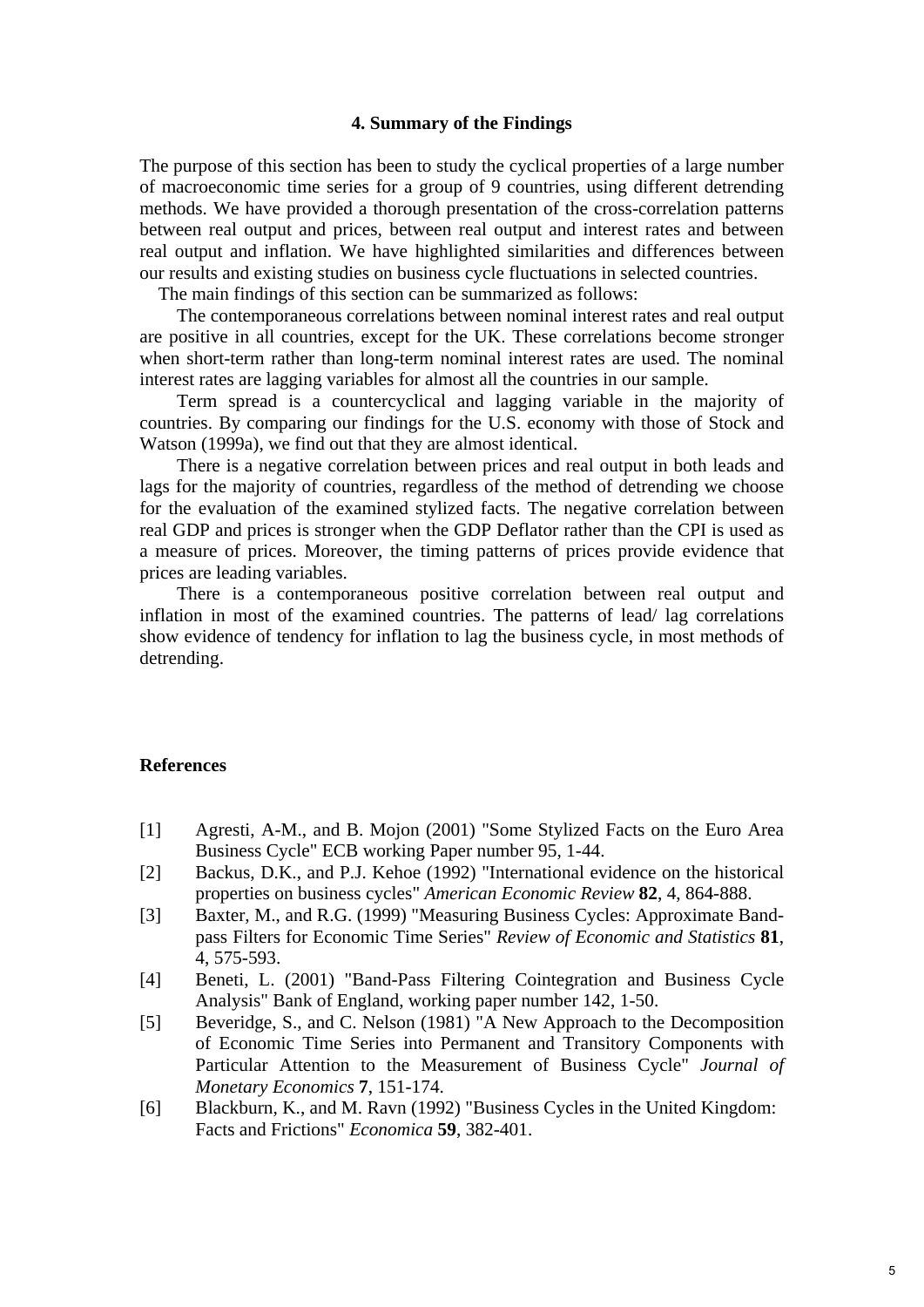# **4. Summary of the Findings**

The purpose of this section has been to study the cyclical properties of a large number of macroeconomic time series for a group of 9 countries, using different detrending methods. We have provided a thorough presentation of the cross-correlation patterns between real output and prices, between real output and interest rates and between real output and inflation. We have highlighted similarities and differences between our results and existing studies on business cycle fluctuations in selected countries.

The main findings of this section can be summarized as follows:

 The contemporaneous correlations between nominal interest rates and real output are positive in all countries, except for the UK. These correlations become stronger when short-term rather than long-term nominal interest rates are used. The nominal interest rates are lagging variables for almost all the countries in our sample.

 Term spread is a countercyclical and lagging variable in the majority of countries. By comparing our findings for the U.S. economy with those of Stock and Watson (1999a), we find out that they are almost identical.

 There is a negative correlation between prices and real output in both leads and lags for the majority of countries, regardless of the method of detrending we choose for the evaluation of the examined stylized facts. The negative correlation between real GDP and prices is stronger when the GDP Deflator rather than the CPI is used as a measure of prices. Moreover, the timing patterns of prices provide evidence that prices are leading variables.

 There is a contemporaneous positive correlation between real output and inflation in most of the examined countries. The patterns of lead/ lag correlations show evidence of tendency for inflation to lag the business cycle, in most methods of detrending.

#### **References**

- [1] Agresti, A-M., and B. Mojon (2001) "Some Stylized Facts on the Euro Area Business Cycle" ECB working Paper number 95, 1-44.
- [2] Backus, D.K., and P.J. Kehoe (1992) "International evidence on the historical properties on business cycles" *American Economic Review* **82**, 4, 864-888.
- [3] Baxter, M., and R.G. (1999) "Measuring Business Cycles: Approximate Bandpass Filters for Economic Time Series" *Review of Economic and Statistics* **81**, 4, 575-593.
- [4] Beneti, L. (2001) "Band-Pass Filtering Cointegration and Business Cycle Analysis" Bank of England, working paper number 142, 1-50.
- [5] Beveridge, S., and C. Nelson (1981) "A New Approach to the Decomposition of Economic Time Series into Permanent and Transitory Components with Particular Attention to the Measurement of Business Cycle" *Journal of Monetary Economics* **7**, 151-174.
- [6] Blackburn, K., and M. Ravn (1992) "Business Cycles in the United Kingdom: Facts and Frictions" *Economica* **59**, 382-401.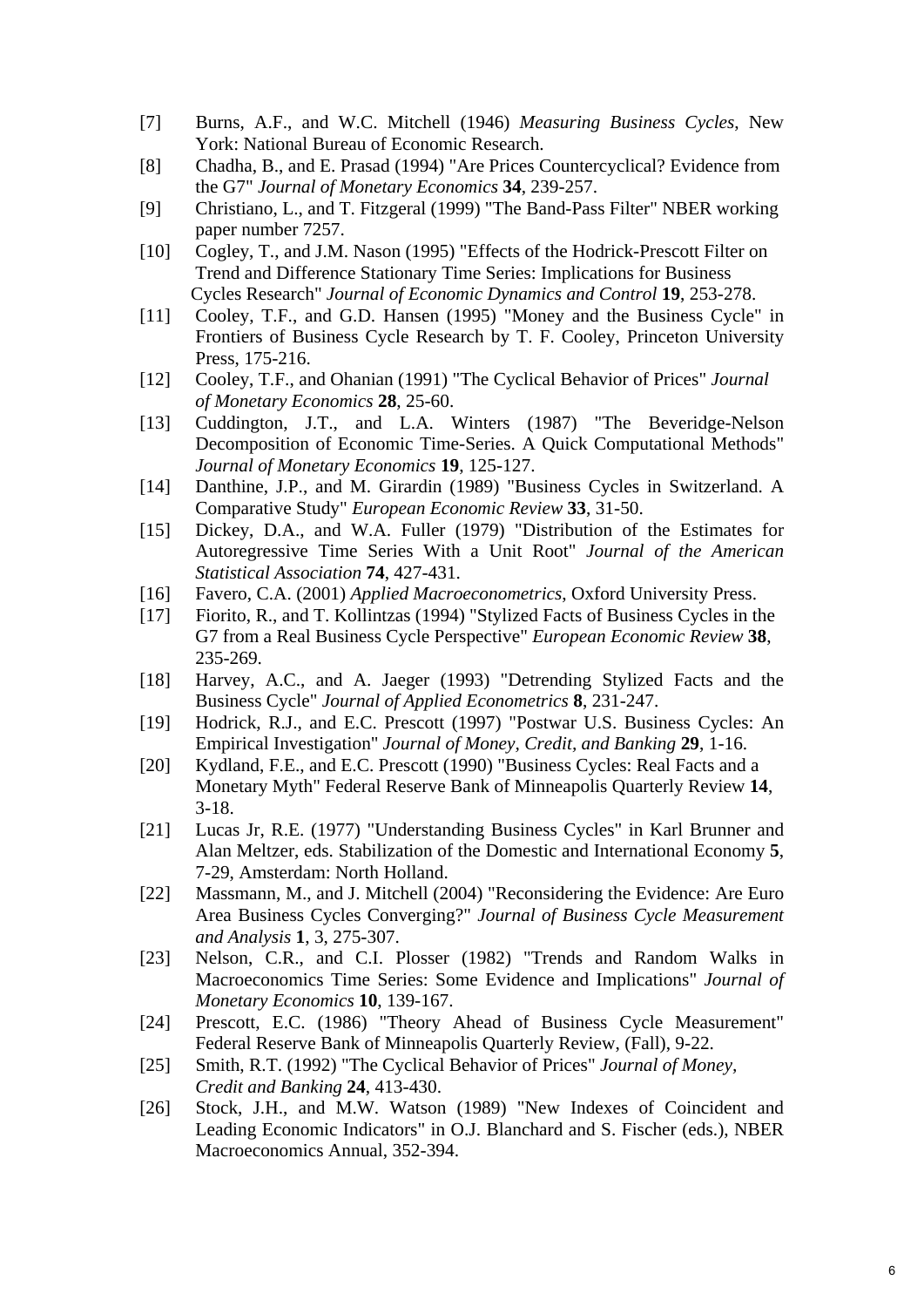- [7] Burns, A.F., and W.C. Mitchell (1946) *Measuring Business Cycles*, New York: National Bureau of Economic Research.
- [8] Chadha, B., and E. Prasad (1994) "Are Prices Countercyclical? Evidence from the G7" *Journal of Monetary Economics* **34**, 239-257.
- [9] Christiano, L., and T. Fitzgeral (1999) "The Band-Pass Filter" NBER working paper number 7257.
- [10] Cogley, T., and J.M. Nason (1995) "Effects of the Hodrick-Prescott Filter on Trend and Difference Stationary Time Series: Implications for Business Cycles Research" *Journal of Economic Dynamics and Control* **19**, 253-278.
- [11] Cooley, T.F., and G.D. Hansen (1995) "Money and the Business Cycle" in Frontiers of Business Cycle Research by T. F. Cooley, Princeton University Press, 175-216.
- [12] Cooley, T.F., and Ohanian (1991) "The Cyclical Behavior of Prices" *Journal of Monetary Economics* **28**, 25-60.
- [13] Cuddington, J.T., and L.A. Winters (1987) "The Beveridge-Nelson Decomposition of Economic Time-Series. A Quick Computational Methods" *Journal of Monetary Economics* **19**, 125-127.
- [14] Danthine, J.P., and M. Girardin (1989) "Business Cycles in Switzerland. A Comparative Study" *European Economic Review* **33**, 31-50.
- [15] Dickey, D.A., and W.A. Fuller (1979) "Distribution of the Estimates for Autoregressive Time Series With a Unit Root" *Journal of the American Statistical Association* **74**, 427-431.
- [16] Favero, C.A. (2001) *Applied Macroeconometrics*, Oxford University Press.
- [17] Fiorito, R., and T. Kollintzas (1994) "Stylized Facts of Business Cycles in the G7 from a Real Business Cycle Perspective" *European Economic Review* **38**, 235-269.
- [18] Harvey, A.C., and A. Jaeger (1993) "Detrending Stylized Facts and the Business Cycle" *Journal of Applied Econometrics* **8**, 231-247.
- [19] Hodrick, R.J., and E.C. Prescott (1997) "Postwar U.S. Business Cycles: An Empirical Investigation" *Journal of Money, Credit, and Banking* **29**, 1-16.
- [20] Kydland, F.E., and E.C. Prescott (1990) "Business Cycles: Real Facts and a Monetary Myth" Federal Reserve Bank of Minneapolis Quarterly Review **14**, 3-18.
- [21] Lucas Jr, R.E. (1977) "Understanding Business Cycles" in Karl Brunner and Alan Meltzer, eds. Stabilization of the Domestic and International Economy **5**, 7-29, Amsterdam: North Holland.
- [22] Massmann, M., and J. Mitchell (2004) "Reconsidering the Evidence: Are Euro Area Business Cycles Converging?" *Journal of Business Cycle Measurement and Analysis* **1**, 3, 275-307.
- [23] Nelson, C.R., and C.I. Plosser (1982) "Trends and Random Walks in Macroeconomics Time Series: Some Evidence and Implications" *Journal of Monetary Economics* **10**, 139-167.
- [24] Prescott, E.C. (1986) "Theory Ahead of Business Cycle Measurement" Federal Reserve Bank of Minneapolis Quarterly Review, (Fall), 9-22.
- [25] Smith, R.T. (1992) "The Cyclical Behavior of Prices" *Journal of Money, Credit and Banking* **24**, 413-430.
- [26] Stock, J.H., and M.W. Watson (1989) "New Indexes of Coincident and Leading Economic Indicators" in O.J. Blanchard and S. Fischer (eds.), NBER Macroeconomics Annual, 352-394.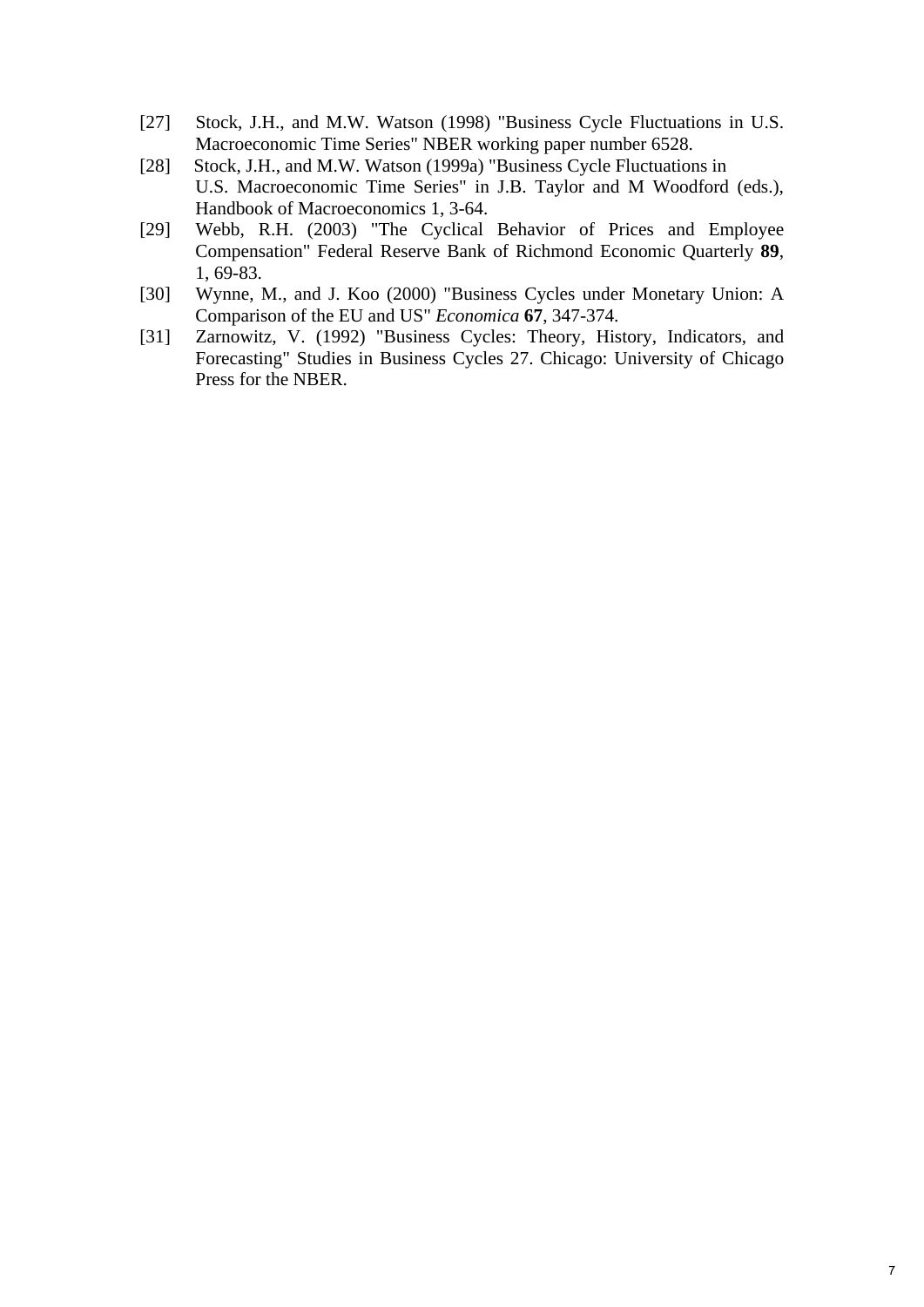- [27] Stock, J.H., and M.W. Watson (1998) "Business Cycle Fluctuations in U.S. Macroeconomic Time Series" NBER working paper number 6528.
- [28] Stock, J.H., and M.W. Watson (1999a) "Business Cycle Fluctuations in U.S. Macroeconomic Time Series" in J.B. Taylor and M Woodford (eds.), Handbook of Macroeconomics 1, 3-64.
- [29] Webb, R.H. (2003) "The Cyclical Behavior of Prices and Employee Compensation" Federal Reserve Bank of Richmond Economic Quarterly **89**, 1, 69-83.
- [30] Wynne, M., and J. Koo (2000) "Business Cycles under Monetary Union: A Comparison of the EU and US" *Economica* **67**, 347-374.
- [31] Zarnowitz, V. (1992) "Business Cycles: Theory, History, Indicators, and Forecasting" Studies in Business Cycles 27. Chicago: University of Chicago Press for the NBER.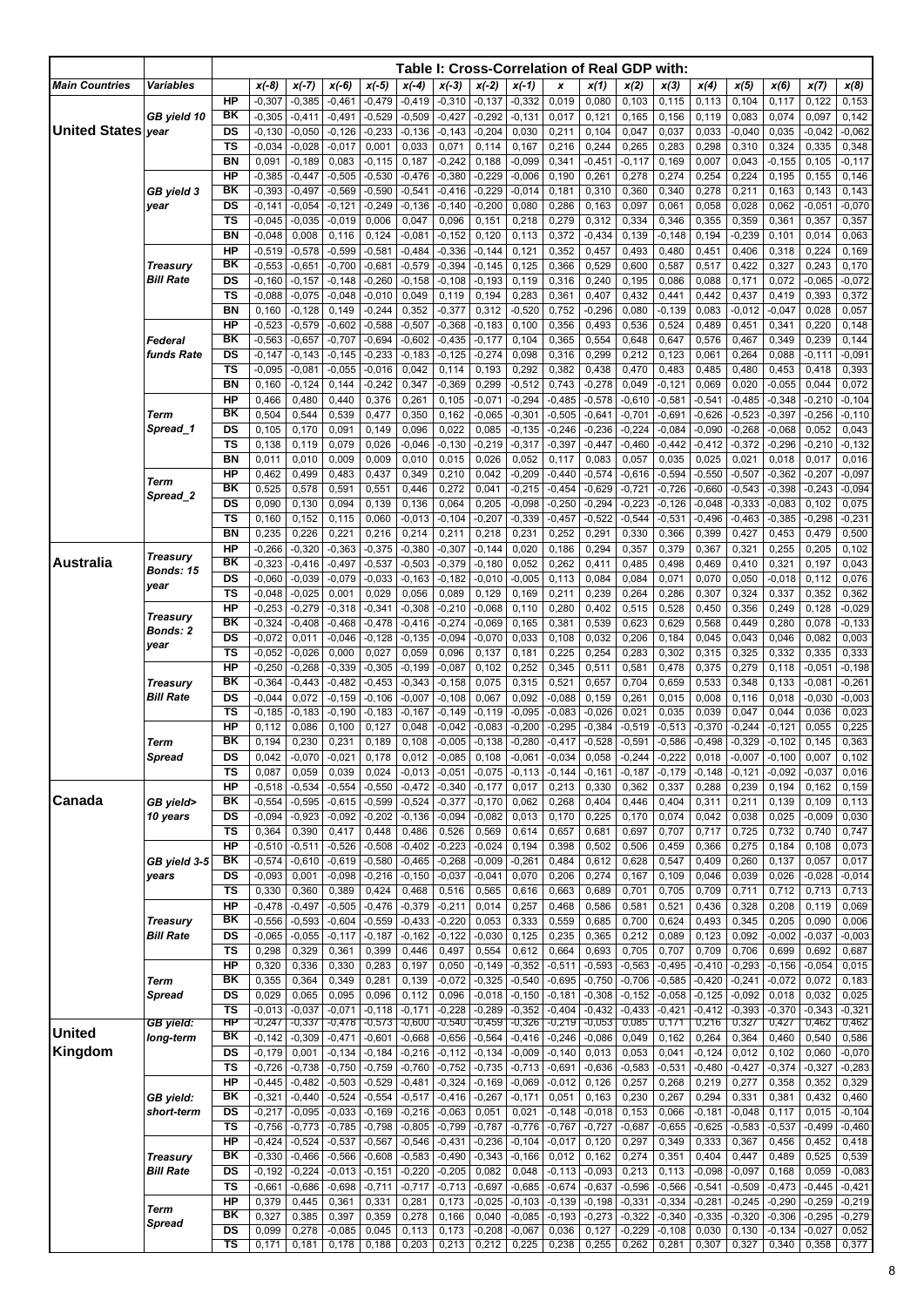|                           |                        |                                   |                      |                      |                      |                      |                      |                      | Table I: Cross-Correlation of Real GDP with: |                      |                      |                      |                      |                      |                      |                      |                       |                      |                      |
|---------------------------|------------------------|-----------------------------------|----------------------|----------------------|----------------------|----------------------|----------------------|----------------------|----------------------------------------------|----------------------|----------------------|----------------------|----------------------|----------------------|----------------------|----------------------|-----------------------|----------------------|----------------------|
| <b>Main Countries</b>     | <b>Variables</b>       |                                   | $x(-8)$              | $x(-7)$              | $x(-6)$              | $x(-5)$              | $x(-4)$              | $x(-3)$              | $x(-2)$                                      | $x(-1)$              | x                    | x(1)                 | x(2)                 | x(3)                 | x(4)                 | x(5)                 | x(6)                  | x(7)                 | x(8)                 |
|                           |                        | <b>HP</b>                         | $-0,307$             | $-0,385$             | $-0,461$             | $-0,479$             | $-0,419$             | $-0,310$             | $-0,137$                                     | $-0,332$             | 0,019                | 0,080                | 0,103                | 0,115                | 0,113                | 0,104                | 0,117                 | 0,122                | 0,153                |
| <b>United States vear</b> | GB yield 10            | ΒK<br>DS                          | $-0,305$<br>$-0,130$ | $-0,411$<br>$-0,050$ | $-0,491$<br>$-0,126$ | $-0,529$<br>$-0,233$ | $-0,509$<br>$-0,136$ | $-0,427$<br>$-0,143$ | $-0,292$<br>$-0,204$                         | $-0,131$<br>0,030    | 0,017<br>0,211       | 0,121<br>0,104       | 0,165<br>0,047       | 0,156<br>0,037       | 0,119<br>0,033       | 0,083<br>$-0,040$    | 0,074<br>0,035        | 0,097<br>$-0,042$    | 0,142<br>$-0,062$    |
|                           |                        | <b>TS</b>                         | $-0,034$             | $-0,028$             | $-0,017$             | 0,001                | 0,033                | 0,071                | 0,114                                        | 0,167                | 0,216                | 0,244                | 0,265                | 0,283                | 0,298                | 0,310                | 0,324                 | 0,335                | 0,348                |
|                           |                        | <b>BN</b>                         | 0,091                | $-0,189$             | 0,083                | $-0, 115$            | 0,187                | $-0,242$             | 0,188                                        | $-0,099$             | 0,341                | $-0,451$             | $-0, 117$            | 0,169                | 0,007                | 0,043                | $-0, 155$             | 0,105                | $-0, 117$            |
|                           |                        | HP                                | $-0,385$             | $-0,447$             | $-0,505$             | $-0,530$             | $-0,476$             | $-0,380$             | $-0,229$                                     | $-0,006$             | 0,190                | 0,261                | 0,278                | 0,274                | 0,254                | 0,224                | 0,195                 | 0,155                | 0,146                |
|                           | GB yield 3             | ΒK                                | $-0,393$             | $-0,497$             | $-0,569$             | $-0,590$             | $-0,541$             | $-0,416$             | $-0,229$                                     | $-0,014$             | 0,181                | 0,310                | 0,360                | 0,340                | 0,278                | 0,211                | 0,163                 | 0,143                | 0,143                |
|                           | year                   | DS<br>TS                          | $-0,141$<br>$-0,045$ | $-0,054$<br>$-0,035$ | $-0,121$<br>$-0,019$ | $-0,249$<br>0,006    | $-0,136$<br>0,047    | $-0,140$<br>0,096    | $-0,200$<br>0,151                            | 0,080<br>0,218       | 0,286<br>0,279       | 0,163<br>0,312       | 0,097<br>0,334       | 0,061<br>0,346       | 0,058<br>0,355       | 0,028<br>0,359       | 0,062<br>0,361        | $-0,051$<br>0,357    | $-0,070$<br>0,357    |
|                           |                        | <b>BN</b>                         | $-0,048$             | 0,008                | 0,116                | 0,124                | $-0,081$             | $-0, 152$            | 0,120                                        | 0,113                | 0,372                | $-0,434$             | 0,139                | $-0,148$             | 0,194                | $-0,239$             | 0,101                 | 0,014                | 0,063                |
|                           |                        | HP                                | $-0,519$             | $-0,578$             | $-0,599$             | $-0,581$             | $-0,484$             | $-0.336$             | $-0,144$                                     | 0,121                | 0,352                | 0,457                | 0,493                | 0,480                | 0,451                | 0,406                | 0,318                 | 0,224                | 0,169                |
|                           | <b>Treasury</b>        | BK                                | $-0,553$             | $-0,651$             | $-0,700$             | $-0,681$             | $-0,579$             | $-0.394$             | $-0,145$                                     | 0,125                | 0,366                | 0,529                | 0,600                | 0,587                | 0,517                | 0,422                | 0,327                 | 0,243                | 0,170                |
|                           | <b>Bill Rate</b>       | DS                                | $-0,160$             | $-0,157$             | $-0,148$             | $-0,260$             | $-0,158$             | $-0,108$             | $-0,193$                                     | 0,119                | 0,316                | 0,240                | 0,195                | 0,086                | 0,088                | 0,171                | 0,072                 | $-0,065$             | $-0,072$             |
|                           |                        | TS<br><b>BN</b>                   | $-0,088$<br>0,160    | $-0,075$<br>$-0,128$ | $-0,048$<br>0,149    | $-0,010$<br>$-0,244$ | 0,049<br>0,352       | 0,119<br>$-0,377$    | 0,194<br>0,312                               | 0,283<br>$-0,520$    | 0,361<br>0,752       | 0,407<br>$-0,296$    | 0,432<br>0,080       | 0,441<br>$-0,139$    | 0,442<br>0,083       | 0,437<br>$-0,012$    | 0,419<br>$-0,047$     | 0,393<br>0,028       | 0,372<br>0,057       |
|                           |                        | HP                                | $-0,523$             | $-0,579$             | $-0,602$             | $-0,588$             | $-0,507$             | $-0,368$             | $-0,183$                                     | 0,100                | 0,356                | 0,493                | 0,536                | 0,524                | 0,489                | 0,451                | 0,341                 | 0,220                | 0,148                |
|                           | Federal                | BK                                | $-0,563$             | $-0,657$             | $-0,707$             | $-0,694$             | $-0,602$             | $-0,435$             | $-0,177$                                     | 0,104                | 0,365                | 0,554                | 0,648                | 0,647                | 0,576                | 0,467                | 0,349                 | 0,239                | 0,144                |
|                           | funds Rate             | DS                                | $-0,147$             | $-0,143$             | $-0,145$             | $-0,233$             | $-0,183$             | $-0,125$             | $-0,274$                                     | 0,098                | 0,316                | 0,299                | 0,212                | 0,123                | 0,061                | 0,264                | 0,088                 | $-0,111$             | $-0,091$             |
|                           |                        | <b>TS</b>                         | $-0,095$             | $-0,081$             | $-0,055$             | $-0,016$             | 0,042                | 0,114                | 0,193                                        | 0,292                | 0,382                | 0,438                | 0,470                | 0,483                | 0,485                | 0,480                | 0,453                 | 0,418                | 0,393                |
|                           |                        | <b>BN</b><br>HP                   | 0,160<br>0,466       | $-0,124$<br>0,480    | 0,144<br>0,440       | $-0,242$<br>0,376    | 0,347<br>0,261       | $-0,369$<br>0,105    | 0,299<br>$-0,071$                            | $-0,512$<br>$-0,294$ | 0,743<br>$-0,485$    | $-0,278$<br>$-0,578$ | 0,049<br>$-0,610$    | $-0,121$<br>$-0,581$ | 0,069<br>$-0,541$    | 0,020<br>$-0,485$    | $-0,055$<br>$-0,348$  | 0,044<br>$-0,210$    | 0,072<br>$-0,104$    |
|                           | Term                   | BK                                | 0,504                | 0,544                | 0,539                | 0,477                | 0,350                | 0,162                | $-0,065$                                     | $-0,301$             | $-0,505$             | $-0,641$             | $-0,701$             | $-0.691$             | $-0,626$             | $-0,523$             | $-0,397$              | $-0,256$             | $-0,110$             |
|                           | Spread 1               | DS                                | 0,105                | 0,170                | 0,091                | 0,149                | 0,096                | 0,022                | 0,085                                        | $-0,135$             | $-0,246$             | $-0,236$             | $-0,224$             | $-0,084$             | $-0,090$             | $-0,268$             | $-0,068$              | 0,052                | 0,043                |
|                           |                        | TS                                | 0,138                | 0,119                | 0,079                | 0,026                | $-0,046$             | $-0,130$             | $-0,219$                                     | $-0,317$             | $-0,397$             | $-0,447$             | $-0,460$             | $-0,442$             | $-0,412$             | $-0,372$             | $-0,296$              | $-0,210$             | $-0,132$             |
|                           |                        | <b>BN</b><br>HP                   | 0,011                | 0,010                | 0,009                | 0,009                | 0,010                | 0,015                | 0,026                                        | 0,052                | 0,117                | 0,083                | 0,057                | 0,035                | 0,025                | 0,021                | 0,018                 | 0,017                | 0,016                |
|                           | Term                   | BK                                | 0,462<br>0,525       | 0,499<br>0,578       | 0,483<br>0,591       | 0,437<br>0,551       | 0,349<br>0,446       | 0,210<br>0,272       | 0,042<br>0,041                               | $-0,209$<br>$-0,215$ | $-0,440$<br>$-0,454$ | $-0,574$<br>$-0,629$ | $-0,616$<br>$-0,721$ | $-0,594$<br>$-0,726$ | $-0,550$<br>$-0,660$ | $-0,507$<br>$-0,543$ | $-0,362$<br>$-0,398$  | $-0,207$<br>$-0,243$ | $-0,097$<br>$-0,094$ |
|                           | Spread 2               | DS                                | 0,090                | 0,130                | 0,094                | 0,139                | 0,136                | 0,064                | 0,205                                        | $-0,098$             | $-0,250$             | $-0,294$             | $-0,223$             | $-0,126$             | $-0,048$             | $-0,333$             | $-0,083$              | 0,102                | 0,075                |
|                           |                        | TS                                | 0,160                | 0,152                | 0,115                | 0,060                | $-0,013$             | $-0,104$             | $-0,207$                                     | $-0,339$             | $-0,457$             | $-0,522$             | $-0,544$             | $-0,531$             | $-0,496$             | $-0,463$             | $-0,385$              | $-0,298$             | $-0,231$             |
|                           |                        | <b>BN</b>                         | 0,235                | 0,226                | 0,221                | 0,216                | 0,214                | 0,211                | 0,218                                        | 0,231                | 0,252                | 0,291                | 0,330                | 0,366                | 0,399                | 0,427                | 0,453                 | 0,479                | 0,500                |
| Australia                 | <b>Treasury</b>        | HP<br>BK                          | $-0,266$<br>$-0,323$ | $-0,320$<br>$-0,416$ | $-0,363$<br>$-0,497$ | $-0,375$<br>$-0,537$ | $-0,380$<br>$-0,503$ | $-0,307$<br>$-0,379$ | $-0,144$<br>$-0,180$                         | 0,020<br>0,052       | 0,186<br>0,262       | 0,294<br>0,411       | 0,357<br>0,485       | 0,379<br>0,498       | 0,367<br>0,469       | 0,321<br>0,410       | 0,255<br>0,321        | 0,205<br>0,197       | 0,102<br>0,043       |
|                           | <b>Bonds: 15</b>       | DS                                | $-0,060$             | $-0,039$             | $-0,079$             | $-0,033$             | $-0,163$             | $-0,182$             | $-0,010$                                     | $-0,005$             | 0,113                | 0,084                | 0,084                | 0,071                | 0,070                | 0,050                | $-0,018$              | 0,112                | 0,076                |
|                           | year                   | TS                                | $-0,048$             | $-0,025$             | 0,001                | 0,029                | 0,056                | 0,089                | 0,129                                        | 0,169                | 0,211                | 0,239                | 0,264                | 0,286                | 0,307                | 0,324                | 0,337                 | 0,352                | 0,362                |
|                           | Treasury               | <b>HP</b>                         | $-0,253$             | $-0,279$             | $-0,318$             | $-0,341$             | $-0,308$             | $-0,210$             | $-0,068$                                     | 0,110                | 0,280                | 0,402                | 0,515                | 0,528                | 0,450                | 0,356                | 0,249                 | 0,128                | $-0,029$             |
|                           | <b>Bonds: 2</b>        | BK                                | $-0,324$             | $-0,408$             | $-0,468$             | $-0,478$             | $-0,416$             | $-0,274$             | $-0,069$                                     | 0,165                | 0,381                | 0,539                | 0,623                | 0,629                | 0,568                | 0,449                | 0,280                 | 0,078                | $-0,133$             |
|                           | year                   | DS<br><b>TS</b>                   | $-0,072$<br>$-0,052$ | 0,011<br>$-0,026$    | $-0,046$<br>0,000    | $-0,128$<br>0,027    | $-0,135$<br>0,059    | $-0,094$<br>0,096    | $-0,070$<br>0,137                            | 0,033<br>0,181       | 0,108<br>0,225       | 0,032<br>0,254       | 0,206<br>0,283       | 0,184<br>0,302       | 0,045<br>0,315       | 0,043<br>0,325       | 0,046<br>0,332        | 0,082<br>0,335       | 0,003<br>0,333       |
|                           |                        | <b>HP</b>                         | $-0,250$             | $-0,268$             | $-0,339$             | $-0,305$             | $-0,199$             | $-0.087$             | 0,102                                        | 0,252                | 0,345                | 0,511                | 0,581                | 0,478                | 0,375                | 0,279                | 0,118                 | $-0.051$             | $-0,198$             |
|                           | <b>Treasury</b>        | BK                                | $-0,364$             | $-0,443$             | $-0,482$             | $-0,453$             | $-0,343$             | $-0,158$             | 0,075                                        | 0,315                | 0,521                | 0,657                | 0,704                | 0,659                | 0,533                | 0,348                | 0,133                 | $-0.081$             | $-0,261$             |
|                           | <b>Bill Rate</b>       | DS                                | $-0,044$             | 0,072                | $-0,159$             | $-0,106$             | $-0,007$             | $-0,108$             | 0,067                                        | 0,092                | $-0.088$             | 0,159                | 0,261                | 0,015                | 0,008                | 0,116                | 0,018                 | $-0,030$             | $-0,003$             |
|                           |                        | TS<br><b>HP</b>                   | $-0,185$             | $-0,183$<br>0,086    | $-0,190$             | $-0,183$             | $-0,167$             | $-0,149$             | $-0,119$<br>$-0,083$                         | $-0,095$             | $-0,083$             | $-0,026$<br>$-0,384$ | 0,021                | 0,035<br>$-0,513$    | 0,039<br>$-0,370$    | 0,047                | 0,044                 | 0,036                | 0,023<br>0,225       |
|                           | Term                   | $\overline{\mathsf{B}}$ K         | 0,112<br>0,194       | 0,230                | 0,100<br>0,231       | 0,127<br>0,189       | 0,048<br>0,108       | $-0,042$<br>$-0,005$ | $-0,138$                                     | $-0,200$<br>$-0,280$ | $-0,295$<br>$-0,417$ | $-0,528$             | $-0,519$<br>$-0,591$ | $-0,586$             | $-0,498$             | $-0,244$<br>$-0,329$ | $-0, 121$<br>$-0,102$ | 0,055<br>0,145       | 0,363                |
|                           | Spread                 | DS                                | 0,042                | $-0,070$             | $-0,021$             | 0,178                | 0,012                | $-0,085$             | 0,108                                        | $-0,061$             | $-0,034$             | 0,058                | -0,244               | $-0,222$             | 0,018                | $-0,007$             | $-0,100$              | 0,007                | 0,102                |
|                           |                        | <b>TS</b>                         | 0,087                | 0,059                | 0,039                | 0,024                | $-0,013$             | $-0,051$             | $-0,075$                                     | $-0,113$             | $-0,144$             | $-0, 161$            | $-0,187$             | $-0,179$             | $-0,148$             | $-0,121$             | $-0,092$              | $-0,037$             | 0,016                |
|                           |                        | <b>HP</b><br>BK                   | $-0,518$             | $-0,534$             | $-0,554$             | $-0,550$             | $-0,472$             | $-0,340$             | $-0,177$                                     | 0,017                | 0,213                | 0,330                | 0,362                | 0,337                | 0,288                | 0,239                | 0,194                 | 0,162                | 0,159                |
| Canada                    | GB yield><br>10 years  | DS                                | $-0,554$<br>$-0,094$ | $-0,595$<br>$-0,923$ | $-0,615$<br>$-0,092$ | $-0,599$<br>$-0,202$ | $-0,524$<br>$-0,136$ | $-0,377$<br>$-0,094$ | $-0,170$<br>$-0,082$                         | 0,062<br>0,013       | 0,268<br>0,170       | 0,404<br>0,225       | 0,446<br>0,170       | 0,404<br>0,074       | 0,311<br>0,042       | 0,211<br>0,038       | 0,139<br>0,025        | 0,109<br>$-0,009$    | 0,113<br>0,030       |
|                           |                        | <b>TS</b>                         | 0,364                | 0,390                | 0,417                | 0,448                | 0,486                | 0,526                | 0,569                                        | 0,614                | 0,657                | 0,681                | 0,697                | 0,707                | 0,717                | 0,725                | 0,732                 | 0,740                | 0,747                |
|                           |                        | <b>HP</b>                         | $-0,510$             | $-0,511$             | $-0,526$             | $-0,508$             | $-0,402$             | $-0,223$             | $-0,024$                                     | 0,194                | 0,398                | 0,502                | 0,506                | 0,459                | 0,366                | 0,275                | 0,184                 | 0,108                | 0,073                |
|                           | GB yield 3-5           | BK                                | $-0,574$             | $-0,610$             | $-0,619$             | $-0,580$             | $-0,465$             | $-0,268$             | $-0,009$                                     | $-0,261$             | 0,484                | 0,612                | 0,628                | 0,547                | 0,409                | 0,260                | 0,137                 | 0,057                | 0,017                |
|                           | years                  | DS<br><b>TS</b>                   | $-0,093$<br>0,330    | 0,001<br>0,360       | $-0,098$<br>0,389    | $-0,216$<br>0,424    | $-0,150$<br>0,468    | $-0,037$<br>0,516    | $-0,041$<br>0,565                            | 0,070<br>0,616       | 0,206<br>0,663       | 0,274<br>0,689       | 0,167<br>0,701       | 0,109<br>0,705       | 0,046<br>0,709       | 0,039<br>0,711       | 0,026<br>0,712        | $-0,028$<br>0,713    | $-0,014$<br>0,713    |
|                           |                        | HP                                | $-0,478$             | $-0,497$             | $-0,505$             | $-0,476$             | $-0,379$             | $-0,211$             | 0,014                                        | 0,257                | 0,468                | 0,586                | 0,581                | 0,521                | 0,436                | 0,328                | 0,208                 | 0,119                | 0,069                |
|                           | <b>Treasury</b>        | BK                                | $-0,556$             | $-0,593$             | $-0,604$             | $-0,559$             | $-0,433$             | $-0,220$             | 0,053                                        | 0,333                | 0,559                | 0,685                | 0,700                | 0,624                | 0,493                | 0,345                | 0,205                 | 0,090                | 0,006                |
|                           | <b>Bill Rate</b>       | DS                                | $-0,065$             | $-0,055$             | $-0,117$             | $-0,187$             | $-0,162$             | $-0,122$             | $-0,030$                                     | 0,125                | 0,235                | 0,365                | 0,212                | 0,089                | 0,123                | 0,092                | $-0,002$              | $-0,037$             | $-0,003$             |
|                           |                        | <b>TS</b><br>H <sub>P</sub>       | 0,298<br>0,320       | 0,329<br>0,336       | 0,361<br>0,330       | 0,399<br>0,283       | 0,446<br>0,197       | 0,497<br>0,050       | 0,554<br>$-0,149$                            | 0,612<br>$-0,352$    | 0,664<br>$-0,511$    | 0,693<br>$-0,593$    | 0,705<br>$-0,563$    | 0,707<br>$-0,495$    | 0,709<br>$-0,410$    | 0,706<br>$-0,293$    | 0,699<br>$-0,156$     | 0,692<br>$-0,054$    | 0,687<br>0,015       |
|                           | Term                   | BK                                | 0,355                | 0,364                | 0,349                | 0,281                | 0,139                | $-0,072$             | $-0,325$                                     | $-0,540$             | $-0,695$             | $-0,750$             | $-0,706$             | $-0,585$             | $-0,420$             | $-0,241$             | $-0,072$              | 0,072                | 0,183                |
|                           | Spread                 | DS                                | 0,029                | 0,065                | 0,095                | 0,096                | 0,112                | 0,096                | $-0,018$                                     | $-0,150$             | $-0,181$             | $-0,308$             | $-0,152$             | $-0,058$             | $-0,125$             | $-0,092$             | 0,018                 | 0,032                | 0,025                |
|                           |                        | <b>TS</b>                         | $-0,013$             | $-0,037$             | $-0,071$             | $-0,118$             | $-0,171$             | $-0,228$             | $-0,289$                                     | $-0,352$             | $-0,404$             | $-0,432$             | $-0,433$             | $-0,421$             | $-0,412$             | $-0,393$             | $-0,370$              | $-0,343$             | $-0,321$             |
| <b>United</b>             | GB yield:<br>long-term | HP<br>BK                          | $-0,247$<br>$-0,142$ | $-0,337$<br>$-0,309$ | $-0,478$<br>$-0,471$ | $-0,573$<br>$-0,601$ | $-0,600$<br>$-0,668$ | $-0,540$<br>$-0,656$ | $-0,459$<br>$-0,564$                         | $-0,326$<br>$-0,416$ | $-0,219$<br>$-0,246$ | $-0,053$<br>$-0,086$ | 0,085<br>0,049       | 0,171<br>0,162       | 0,216<br>0,264       | 0,327<br>0,364       | 0,427<br>0,460        | 0,462<br>0,540       | 0,462<br>0,586       |
| Kingdom                   |                        | DS                                | $-0,179$             | 0,001                | $-0,134$             | $-0,184$             | $-0,216$             | $-0,112$             | $-0,134$                                     | $-0,009$             | $-0,140$             | 0,013                | 0,053                | 0,041                | $-0,124$             | 0,012                | 0,102                 | 0,060                | $-0,070$             |
|                           |                        | <b>TS</b>                         | $-0,726$             | $-0,738$             | $-0,750$             | $-0,759$             | $-0,760$             | $-0,752$             | $-0,735$                                     | $-0,713$             | $-0,691$             | $-0,636$             | $-0,583$             | $-0,531$             | $-0,480$             | $-0,427$             | $-0,374$              | $-0,327$             | $-0,283$             |
|                           |                        | HP                                | $-0,445$             | $-0,482$             | $-0,503$             | $-0,529$             | $-0,481$             | $-0,324$             | $-0,169$                                     | $-0,069$             | $-0,012$             | 0,126                | 0,257                | 0,268                | 0,219                | 0,277                | 0,358                 | 0,352                | 0,329                |
|                           | GB yield:              | ΒK                                | $-0,321$             | $-0,440$             | $-0,524$             | $-0,554$             | $-0,517$             | $-0,416$             | $-0,267$                                     | $-0,171$             | 0,051                | 0,163                | 0,230                | 0,267                | 0,294                | 0,331                | 0,381                 | 0,432                | 0,460                |
|                           | short-term             | DS<br>$\overline{\mathsf{TS}}$    | $-0,217$<br>$-0,756$ | $-0,095$<br>$-0,773$ | $-0,033$<br>$-0,785$ | $-0,169$<br>$-0,798$ | $-0,216$<br>$-0,805$ | $-0,063$<br>$-0,799$ | 0,051<br>$-0,787$                            | 0,021<br>$-0,776$    | $-0,148$<br>$-0,767$ | $-0,018$<br>$-0,727$ | 0,153<br>$-0,687$    | 0,066<br>$-0,655$    | $-0,181$<br>$-0,625$ | $-0,048$<br>$-0,583$ | 0,117<br>$-0,537$     | 0,015<br>$-0,499$    | $-0,104$<br>$-0,460$ |
|                           |                        | HP                                | $-0,424$             | $-0,524$             | $-0,537$             | $-0,567$             | $-0,546$             | $-0,431$             | $-0,236$                                     | $-0,104$             | $-0,017$             | 0,120                | 0,297                | 0,349                | 0,333                | 0,367                | 0,456                 | 0,452                | 0,418                |
|                           | <b>Treasury</b>        | ΒK                                | $-0,330$             | $-0,466$             | $-0,566$             | $-0,608$             | $-0,583$             | $-0,490$             | $-0,343$                                     | $-0,166$             | 0,012                | 0,162                | 0,274                | 0,351                | 0,404                | 0,447                | 0,489                 | 0,525                | 0,539                |
|                           | <b>Bill Rate</b>       | DS                                | $-0,192$             | $-0,224$             | $-0,013$             | $-0,151$             | $-0,220$             | $-0,205$             | 0,082                                        | 0,048                | $-0, 113$            | $-0,093$             | 0,213                | 0,113                | $-0,098$             | $-0,097$             | 0,168                 | 0,059                | $-0,083$             |
|                           |                        | <b>TS</b><br>HP                   | $-0,661$             | $-0,686$             | $-0,698$             | $-0,711$             | $-0,717$             | $-0,713$             | $-0,697$                                     | $-0,685$             | $-0,674$             | $-0,637$             | $-0,596$             | $-0,566$             | $-0,541$             | $-0,509$             | $-0,473$              | $-0,445$             | $-0,421$             |
|                           | Term                   | ΒK                                | 0,379<br>0,327       | 0,445<br>0,385       | 0,361<br>0,397       | 0,331<br>0,359       | 0,281<br>0,278       | 0,173<br>0,166       | $-0,025$<br>0,040                            | $-0,103$<br>$-0,085$ | $-0,139$<br>$-0,193$ | $-0,198$<br>$-0,273$ | $-0,331$<br>$-0,322$ | $-0,334$<br>$-0,340$ | $-0,281$<br>$-0,335$ | $-0,245$<br>$-0,320$ | $-0,290$<br>$-0,306$  | $-0,259$<br>$-0,295$ | $-0,219$<br>$-0,279$ |
|                           | Spread                 | DS                                | 0,099                | 0,278                | $-0,085$             | 0,045                | 0,113                | 0,173                | $-0,208$                                     | $-0,067$             | 0,036                | 0,127                | $-0,229$             | $-0,108$             | 0,030                | 0,130                | $-0,134$              | $-0,027$             | 0,052                |
|                           |                        | $\overline{\mathsf{r}}\mathsf{s}$ | 0,171                | 0,181                | 0,178                | 0,188                | 0,203                |                      | $0,213$ 0,212                                | 0,225                | 0,238                | 0,255                | 0,262                | 0,281                | 0,307                | 0,327                | 0,340                 | 0,358                | 0,377                |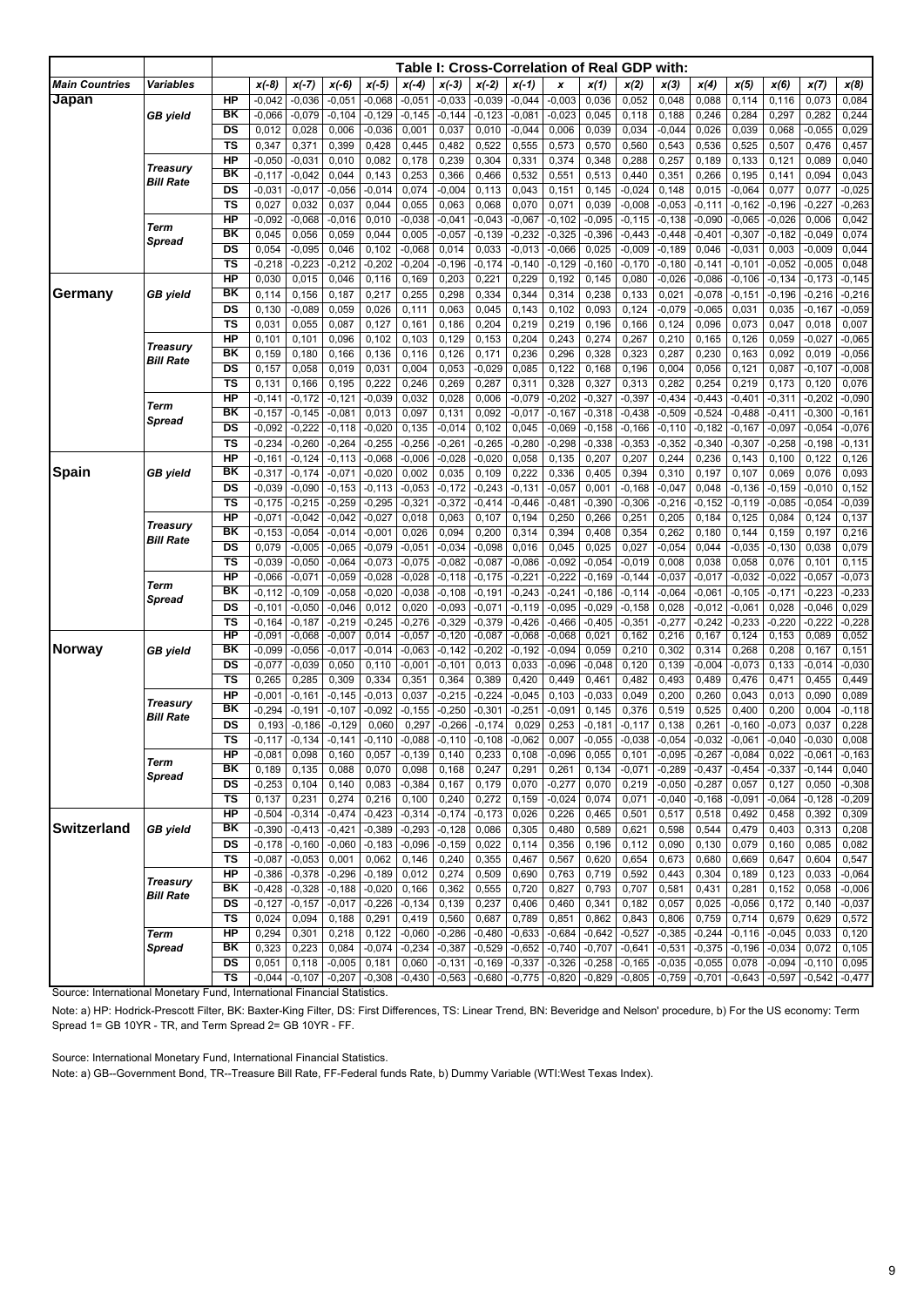|                                     |                                     |                              |                      |                      |                      |                   |                   |                      |                      |                      | Table I: Cross-Correlation of Real GDP with: |                      |                      |                   |                      |                      |                   |                      |                      |
|-------------------------------------|-------------------------------------|------------------------------|----------------------|----------------------|----------------------|-------------------|-------------------|----------------------|----------------------|----------------------|----------------------------------------------|----------------------|----------------------|-------------------|----------------------|----------------------|-------------------|----------------------|----------------------|
| <b>Main Countries</b>               | <b>Variables</b>                    |                              | $x(-8)$              | $x(-7)$              | $x(-6)$              | $x(-5)$           | $x(-4)$           | $x(-3)$              | $x(-2)$              | $x(-1)$              | x                                            | x(1)                 | x(2)                 | x(3)              | x(4)                 | x(5)                 | x(6)              | x(7)                 | x(8)                 |
| Japan                               |                                     | HP                           | $-0,042$             | $-0,036$             | $-0,051$             | $-0,068$          | $-0,051$          | $-0,033$             | $-0,039$             | $-0,044$             | $-0,003$                                     | 0,036                | 0,052                | 0,048             | 0,088                | 0,114                | 0,116             | 0,073                | 0,084                |
|                                     | <b>GB</b> yield                     | BK                           | $-0,066$             | $-0,079$             | $-0,104$             | $-0,129$          | $-0,145$          | $-0,144$             | $-0,123$             | $-0,081$             | $-0,023$                                     | 0,045                | 0,118                | 0,188             | 0,246                | 0,284                | 0,297             | 0,282                | 0,244                |
|                                     |                                     | DS                           | 0,012                | 0,028                | 0,006                | $-0,036$          | 0,001             | 0,037                | 0,010                | $-0,044$             | 0,006                                        | 0,039                | 0,034                | $-0,044$          | 0,026                | 0,039                | 0,068             | $-0,055$             | 0,029                |
|                                     |                                     | <b>TS</b>                    | 0,347                | 0,371                | 0,399                | 0,428             | 0,445             | 0,482                | 0,522                | 0,555                | 0,573                                        | 0,570                | 0,560                | 0,543             | 0,536                | 0,525                | 0,507             | 0,476                | 0,457                |
|                                     |                                     | HP                           | $-0,050$             | $-0,031$             | 0,010                | 0,082             | 0,178             | 0,239                | 0,304                | 0,331                | 0,374                                        | 0,348                | 0,288                | 0,257             | 0,189                | 0,133                | 0,121             | 0,089                | 0,040                |
| <b>Treasury</b><br><b>Bill Rate</b> |                                     | BK                           | $-0,117$             | $-0,042$             | 0,044                | 0,143             | 0,253             | 0,366                | 0,466                | 0,532                | 0,551                                        | 0,513                | 0,440                | 0,351             | 0,266                | 0,195                | 0,141             | 0,094                | 0,043                |
|                                     |                                     | DS                           | $-0,031$             | $-0,017$             | $-0,056$             | $-0,014$          | 0,074             | $-0,004$             | 0,113                | 0,043                | 0,151                                        | 0,145                | $-0,024$             | 0,148             | 0,015                | $-0,064$             | 0,077             | 0,077                | $-0,025$             |
|                                     |                                     | <b>TS</b>                    | 0,027                | 0,032                | 0,037                | 0,044             | 0,055             | 0,063                | 0,068                | 0,070                | 0,071                                        | 0,039                | $-0,008$             | $-0,053$          | $-0,111$             | $-0,162$             | $-0,196$          | $-0,227$             | $-0,263$             |
|                                     | <b>Term</b>                         | HP                           | $-0,092$             | $-0,068$             | $-0,016$             | 0,010             | $-0,038$          | $-0,041$             | $-0,043$             | $-0,067$             | $-0, 102$                                    | $-0,095$             | $-0,115$             | $-0,138$          | $-0,090$             | $-0,065$             | $-0,026$          | 0,006                | 0,042                |
|                                     | Spread                              | BK                           | 0,045                | 0,056                | 0,059                | 0,044             | 0,005             | $-0,057$             | $-0,139$             | $-0,232$             | $-0,325$                                     | $-0,396$             | $-0,443$             | $-0,448$          | $-0,401$             | $-0,307$             | $-0,182$          | $-0,049$             | 0,074                |
|                                     |                                     | DS                           | 0,054                | $-0,095$             | 0,046                | 0,102             | $-0.068$          | 0,014                | 0,033                | $-0,013$             | $-0,066$                                     | 0,025                | $-0,009$             | $-0,189$          | 0,046                | $-0,031$             | 0,003             | $-0,009$             | 0,044                |
|                                     |                                     | <b>TS</b>                    | $-0,218$             | $-0,223$             | $-0,212$             | $-0,202$          | $-0,204$          | $-0,196$             | $-0,174$             | $-0,140$             | $-0,129$                                     | $-0,160$             | $-0,170$             | $-0,180$          | $-0,141$             | $-0,101$             | $-0,052$          | $-0,005$             | 0,048                |
| Germany                             |                                     | <b>HP</b><br>ΒK              | 0,030                | 0,015                | 0,046                | 0,116             | 0,169             | 0,203                | 0,221                | 0,229                | 0,192                                        | 0,145                | 0,080                | $-0,026$          | $-0,086$             | $-0,106$             | $-0,134$          | $-0,173$             | $-0,145$             |
|                                     | <b>GB</b> yield                     | DS                           | 0,114<br>0,130       | 0,156<br>$-0.089$    | 0,187<br>0,059       | 0,217             | 0,255<br>0,111    | 0,298<br>0,063       | 0,334<br>0,045       | 0,344<br>0,143       | 0,314<br>0,102                               | 0,238<br>0,093       | 0,133<br>0,124       | 0,021<br>$-0,079$ | $-0,078$<br>$-0,065$ | $-0, 151$<br>0,031   | $-0,196$<br>0,035 | $-0,216$<br>$-0,167$ | $-0,216$<br>$-0,059$ |
|                                     |                                     | $\overline{\mathsf{TS}}$     | 0,031                | 0,055                | 0,087                | 0,026<br>0,127    | 0,161             | 0,186                | 0,204                | 0,219                | 0,219                                        | 0,196                | 0,166                | 0,124             | 0,096                | 0,073                | 0,047             | 0,018                | 0,007                |
|                                     |                                     | <b>HP</b>                    | 0,101                | 0,101                | 0,096                | 0,102             | 0,103             | 0,129                | 0,153                | 0,204                | 0,243                                        | 0,274                | 0,267                | 0,210             | 0,165                | 0,126                | 0,059             | $-0.027$             | $-0,065$             |
|                                     | <b>Treasury</b>                     | BK                           | 0,159                | 0,180                | 0,166                | 0,136             | 0,116             | 0,126                | 0,171                | 0,236                | 0,296                                        | 0,328                | 0,323                | 0,287             | 0,230                | 0,163                | 0,092             | 0,019                | $-0,056$             |
|                                     | <b>Bill Rate</b>                    | DS                           | 0,157                | 0,058                | 0,019                | 0,031             | 0,004             | 0,053                | $-0,029$             | 0,085                | 0,122                                        | 0,168                | 0,196                | 0,004             | 0,056                | 0,121                | 0,087             | $-0,107$             | $-0,008$             |
|                                     |                                     | <b>TS</b>                    | 0,131                | 0,166                | 0,195                | 0,222             | 0,246             | 0,269                | 0,287                | 0,311                | 0,328                                        | 0,327                | 0,313                | 0,282             | 0,254                | 0,219                | 0,173             | 0,120                | 0,076                |
|                                     |                                     | HP                           | $-0,141$             | $-0,172$             | $-0,121$             | $-0,039$          | 0,032             | 0,028                | 0,006                | $-0,079$             | $-0,202$                                     | $-0,327$             | $-0,397$             | $-0,434$          | $-0,443$             | $-0,401$             | $-0,311$          | $-0,202$             | $-0,090$             |
|                                     | Term                                | BK                           | $-0,157$             | $-0,145$             | $-0,081$             | 0,013             | 0,097             | 0,131                | 0,092                | $-0,017$             | $-0,167$                                     | $-0,318$             | $-0,438$             | $-0,509$          | $-0,524$             | $-0,488$             | $-0,411$          | $-0,300$             | $-0,161$             |
|                                     | <b>Spread</b>                       | DS                           | $-0,092$             | $-0,222$             | $-0,118$             | $-0,020$          | 0,135             | $-0,014$             | 0,102                | 0,045                | $-0.069$                                     | $-0,158$             | $-0,166$             | $-0,110$          | $-0,182$             | $-0, 167$            | $-0.097$          | $-0,054$             | $-0,076$             |
|                                     |                                     | TS                           | $-0,234$             | $-0,260$             | $-0,264$             | $-0,255$          | $-0,256$          | $-0,261$             | $-0,265$             | $-0,280$             | $-0,298$                                     | $-0,338$             | $-0,353$             | $-0,352$          | $-0,340$             | $-0,307$             | $-0,258$          | $-0,198$             | $-0,131$             |
|                                     |                                     | <b>HP</b>                    | $-0,161$             | $-0,124$             | $-0,113$             | $-0,068$          | $-0,006$          | $-0,028$             | $-0,020$             | 0,058                | 0,135                                        | 0,207                | 0,207                | 0,244             | 0,236                | 0,143                | 0,100             | 0,122                | 0,126                |
| <b>Spain</b>                        | <b>GB</b> yield                     | BK                           | $-0,317$             | $-0,174$             | $-0,071$             | $-0,020$          | 0,002             | 0,035                | 0,109                | 0,222                | 0,336                                        | 0,405                | 0,394                | 0,310             | 0,197                | 0,107                | 0,069             | 0,076                | 0,093                |
|                                     |                                     | DS                           | $-0,039$             | $-0,090$             | $-0,153$             | $-0, 113$         | $-0,053$          | $-0,172$             | $-0,243$             | $-0,131$             | $-0,057$                                     | 0,001                | $-0,168$             | $-0,047$          | 0,048                | $-0,136$             | $-0,159$          | $-0,010$             | 0,152                |
|                                     |                                     | <b>TS</b>                    | $-0,175$             | $-0,215$             | $-0,259$             | $-0,295$          | $-0,321$          | $-0,372$             | $-0,414$             | $-0,446$             | $-0,481$                                     | $-0,390$             | $-0,306$             | $-0,216$          | $-0,152$             | $-0,119$             | $-0,085$          | $-0,054$             | $-0,039$             |
|                                     | <b>Treasury</b>                     | <b>HP</b>                    | $-0,071$             | $-0,042$             | $-0,042$             | $-0,027$          | 0,018             | 0,063                | 0,107                | 0,194                | 0,250                                        | 0,266                | 0,251                | 0,205             | 0,184                | 0,125                | 0,084             | 0,124                | 0,137                |
|                                     | <b>Bill Rate</b>                    | BK                           | $-0,153$             | $-0,054$             | $-0,014$             | $-0,001$          | 0,026             | 0,094                | 0,200                | 0,314                | 0,394                                        | 0,408                | 0,354                | 0,262             | 0,180                | 0,144                | 0,159             | 0,197                | 0,216                |
|                                     |                                     | DS                           | 0,079                | $-0,005$             | $-0,065$             | $-0,079$          | $-0,051$          | $-0,034$             | $-0,098$             | 0,016                | 0,045                                        | 0,025                | 0,027                | $-0,054$          | 0,044                | $-0,035$             | $-0,130$          | 0,038                | 0,079                |
|                                     |                                     | <b>TS</b>                    | $-0,039$             | $-0,050$             | $-0,064$             | $-0,073$          | $-0.075$          | $-0,082$             | $-0,087$             | $-0,086$             | $-0,092$                                     | $-0,054$             | $-0,019$             | 0,008             | 0,038                | 0,058                | 0,076             | 0,101                | 0,115                |
|                                     | Term                                | <b>HP</b><br>ΒK              | $-0,066$             | $-0,071$             | $-0,059$             | $-0,028$          | $-0,028$          | $-0,118$             | $-0,175$             | $-0,221$             | $-0,222$                                     | $-0,169$             | $-0,144$             | $-0,037$          | $-0,017$             | $-0,032$             | $-0,022$          | $-0,057$             | $-0,073$             |
|                                     | <b>Spread</b>                       | DS                           | $-0,112$             | $-0,109$             | $-0,058$             | $-0,020$          | $-0,038$<br>0,020 | $-0,108$             | $-0,191$<br>$-0,071$ | $-0,243$             | $-0,241$                                     | $-0,186$<br>$-0,029$ | $-0,114$             | $-0,064$          | $-0,061$             | $-0, 105$            | $-0,171$          | $-0,223$<br>$-0,046$ | $-0,233$             |
|                                     |                                     | <b>TS</b>                    | $-0,101$<br>$-0,164$ | $-0,050$<br>$-0,187$ | $-0,046$<br>$-0,219$ | 0,012<br>$-0,245$ | $-0,276$          | $-0.093$<br>$-0,329$ | $-0,379$             | $-0,119$<br>$-0,426$ | $-0,095$<br>$-0,466$                         | $-0,405$             | $-0,158$<br>$-0,351$ | 0,028<br>$-0,277$ | $-0,012$<br>$-0,242$ | $-0,061$<br>$-0,233$ | 0,028<br>$-0,220$ | $-0,222$             | 0,029<br>$-0,228$    |
|                                     |                                     | HP                           | $-0,091$             | $-0,068$             | $-0,007$             | 0,014             | $-0,057$          | $-0,120$             | $-0,087$             | $-0,068$             | $-0,068$                                     | 0,021                | 0,162                | 0,216             | 0,167                | 0,124                | 0,153             | 0,089                | 0,052                |
| Norway                              | GB yield                            | ΒK                           | $-0,099$             | $-0,056$             | $-0,017$             | $-0,014$          | $-0,063$          | $-0,142$             | $-0,202$             | $-0,192$             | $-0,094$                                     | 0,059                | 0,210                | 0,302             | 0,314                | 0,268                | 0,208             | 0,167                | 0,151                |
|                                     |                                     | DS                           | $-0,077$             | $-0,039$             | 0,050                | 0,110             | $-0,001$          | $-0,101$             | 0,013                | 0,033                | $-0.096$                                     | $-0,048$             | 0,120                | 0,139             | $-0,004$             | $-0,073$             | 0,133             | $-0,014$             | $-0,030$             |
|                                     |                                     | TS                           | 0,265                | 0,285                | 0,309                | 0,334             | 0,351             | 0,364                | 0,389                | 0,420                | 0,449                                        | 0,461                | 0,482                | 0,493             | 0,489                | 0,476                | 0,471             | 0,455                | 0,449                |
|                                     |                                     | <b>HP</b>                    | $-0,001$             | $-0,161$             | $-0,145$             | $-0,013$          | 0,037             | $-0,215$             | $-0,224$             | $-0,045$             | 0,103                                        | $-0,033$             | 0,049                | 0,200             | 0,260                | 0,043                | 0,013             | 0,090                | 0,089                |
|                                     | <b>Treasury</b><br><b>Bill Rate</b> | ΒK                           | $-0,294$             | $-0,191$             | $-0,107$             | $-0.092$          | $-0, 155$         | $-0,250$             | $-0,301$             | $-0,251$             | $-0,091$                                     | 0,145                | 0,376                | 0,519             | 0,525                | 0,400                | 0,200             | 0,004                | $-0,118$             |
|                                     |                                     | DS                           | 0,193                | $-0,186$             | $-0,129$             | 0,060             | 0,297             | $-0,266$             | $-0,174$             | 0,029                | 0,253                                        | $-0,181$             | $-0,117$             | 0,138             | 0,261                | $-0,160$             | $-0,073$          | 0,037                | 0,228                |
|                                     |                                     | <b>TS</b>                    | $-0,117$             | $-0,134$             | $-0,141$             | $-0,110$          | $-0.088$          | $-0,110$             | $-0,108$             | $-0,062$             | 0,007                                        | $-0.055$             | $-0,038$             | $-0,054$          | $-0.032$             | $-0,061$             | $-0,040$          | $-0,030$             | 0,008                |
|                                     | Term                                | HP                           | $-0,081$             | 0,098                | 0,160                | 0,057             | $-0,139$          | 0,140                | 0,233                | 0,108                | $-0,096$                                     | 0,055                | 0,101                | $-0,095$          | $-0,267$             | $-0,084$             | 0,022             | $-0,061$             | $-0,163$             |
|                                     | <b>Spread</b>                       | BK                           | 0,189                | 0,135                | 0,088                | 0,070             | 0,098             | 0,168                | 0,247                | 0,291                | 0,261                                        | 0,134                |                      | $-0,071$ $-0,289$ | $-0,437$             | $-0,454$             | $-0,337$          | $-0,144$             | 0,040                |
|                                     |                                     | DS                           | $-0,253$             | 0,104                | 0,140                | 0,083             | $-0,384$          | 0,167                | 0,179                | 0,070                | $-0,277$                                     | 0,070                | 0,219                | $-0,050$          | $-0,287$             | 0,057                | 0,127             | 0,050                | $-0,308$             |
|                                     |                                     | $\overline{\mathsf{TS}}$     | 0,137                | 0,231                | 0,274                | 0,216             | 0,100             | 0,240                | 0,272                | 0,159                | $-0,024$                                     | 0,074                | 0,071                | $-0,040$          | $-0,168$             | $-0,091$             | $-0,064$          | $-0,128$             | $-0,209$             |
| <b>Switzerland</b>                  |                                     | H <sub>P</sub>               | $-0,504$             | $-0,314$             | $-0,474$             | $-0,423$          | $-0,314$          | $-0,174$             | $-0,173$             | 0,026                | 0,226                                        | 0,465                | 0,501                | 0,517             | 0,518                | 0,492                | 0,458             | 0,392                | 0,309                |
|                                     | <b>GB</b> yield                     | $\overline{\mathsf{B}}$ K    | $-0,390$             | $-0,413$             | $-0,421$             | $-0,389$          | $-0,293$          | $-0,128$             | 0,086                | 0,305                | 0,480                                        | 0,589                | 0,621                | 0,598             | 0,544                | 0,479                | 0,403             | 0,313                | 0,208                |
|                                     |                                     | $\overline{DS}$<br><b>TS</b> | $-0,178$             | $-0,160$             | $-0,060$             | $-0,183$          | $-0,096$          | $-0,159$             | 0,022                | 0,114                | 0,356                                        | 0,196                | 0,112                | 0,090             | 0,130                | 0,079                | 0,160             | 0,085                | 0,082                |
|                                     |                                     | H <sub>P</sub>               | $-0,087$<br>$-0,386$ | $-0,053$<br>$-0,378$ | 0,001<br>$-0,296$    | 0,062<br>$-0,189$ | 0,146<br>0,012    | 0,240<br>0,274       | 0,355<br>0,509       | 0,467<br>0,690       | 0,567<br>0,763                               | 0,620<br>0,719       | 0,654<br>0,592       | 0,673<br>0,443    | 0,680<br>0,304       | 0,669<br>0,189       | 0,647<br>0,123    | 0,604<br>0,033       | 0,547<br>$-0,064$    |
|                                     | <b>Treasury</b>                     | BK                           | $-0,428$             | $-0,328$             | $-0,188$             | $-0,020$          | 0,166             | 0,362                | 0,555                | 0,720                | 0,827                                        | 0,793                | 0,707                | 0,581             | 0,431                | 0,281                | 0,152             | 0,058                | $-0,006$             |
|                                     | <b>Bill Rate</b>                    | DS                           | $-0,127$             | $-0,157$             | $-0,017$             | $-0,226$          | $-0,134$          | 0,139                | 0,237                | 0,406                | 0,460                                        | 0,341                | 0,182                | 0,057             | 0,025                | $-0,056$             | 0,172             | 0,140                | $-0,037$             |
|                                     |                                     | $\overline{\mathsf{TS}}$     | 0,024                | 0,094                | 0,188                | 0,291             | 0,419             | 0,560                | 0,687                | 0,789                | 0,851                                        | 0,862                | 0,843                | 0,806             | 0,759                | 0,714                | 0,679             | 0,629                | 0,572                |
|                                     | <b>Term</b>                         | HP                           | 0,294                | 0,301                | 0,218                | 0,122             | $-0,060$          | $-0,286$             | $-0,480$             | $-0,633$             | $-0,684$                                     | $-0,642$             | $-0,527$             | $-0,385$          | $-0,244$             | $-0,116$             | $-0,045$          | 0,033                | 0,120                |
|                                     | <b>Spread</b>                       | BK                           | 0,323                | 0,223                | 0,084                | $-0,074$          | $-0,234$          | $-0,387$             | $-0,529$             | $-0,652$             | $-0,740$                                     | $-0,707$             | $-0,641$             | $-0,531$          | $-0,375$             | $-0,196$             | $-0,034$          | 0,072                | 0,105                |
|                                     |                                     | $\overline{DS}$              | 0,051                | 0,118                | $-0,005$             | 0,181             | 0,060             | $-0,131$             | $-0,169$             | $-0,337$             | $-0,326$                                     | $-0,258$             |                      | $-0,165 - 0,035$  | $-0,055$             | 0,078                | $-0,094$          | $-0,110$             | 0,095                |
|                                     |                                     | TS                           | $-0,044$             | $-0,107$             | $-0,207$             | $-0,308$          | $-0,430$          | $-0,563$             | $-0,680$             | $-0,775$             | $-0,820$                                     | $-0,829$             |                      | $-0,805$ $-0,759$ | $-0,701$             | $-0,643$             | $-0,597$          | $-0,542$             | $-0,477$             |
|                                     |                                     |                              |                      |                      |                      |                   |                   |                      |                      |                      |                                              |                      |                      |                   |                      |                      |                   |                      |                      |

Source: International Monetary Fund, International Financial Statistics.

Note: a) HP: Hodrick-Prescott Filter, BK: Baxter-King Filter, DS: First Differences, TS: Linear Trend, BN: Beveridge and Nelson' procedure, b) For the US economy: Term Spread 1= GB 10YR - TR, and Term Spread 2= GB 10YR - FF.

Source: International Monetary Fund, International Financial Statistics.

Note: a) GB--Government Bond, TR--Treasure Bill Rate, FF-Federal funds Rate, b) Dummy Variable (WTI:West Texas Index).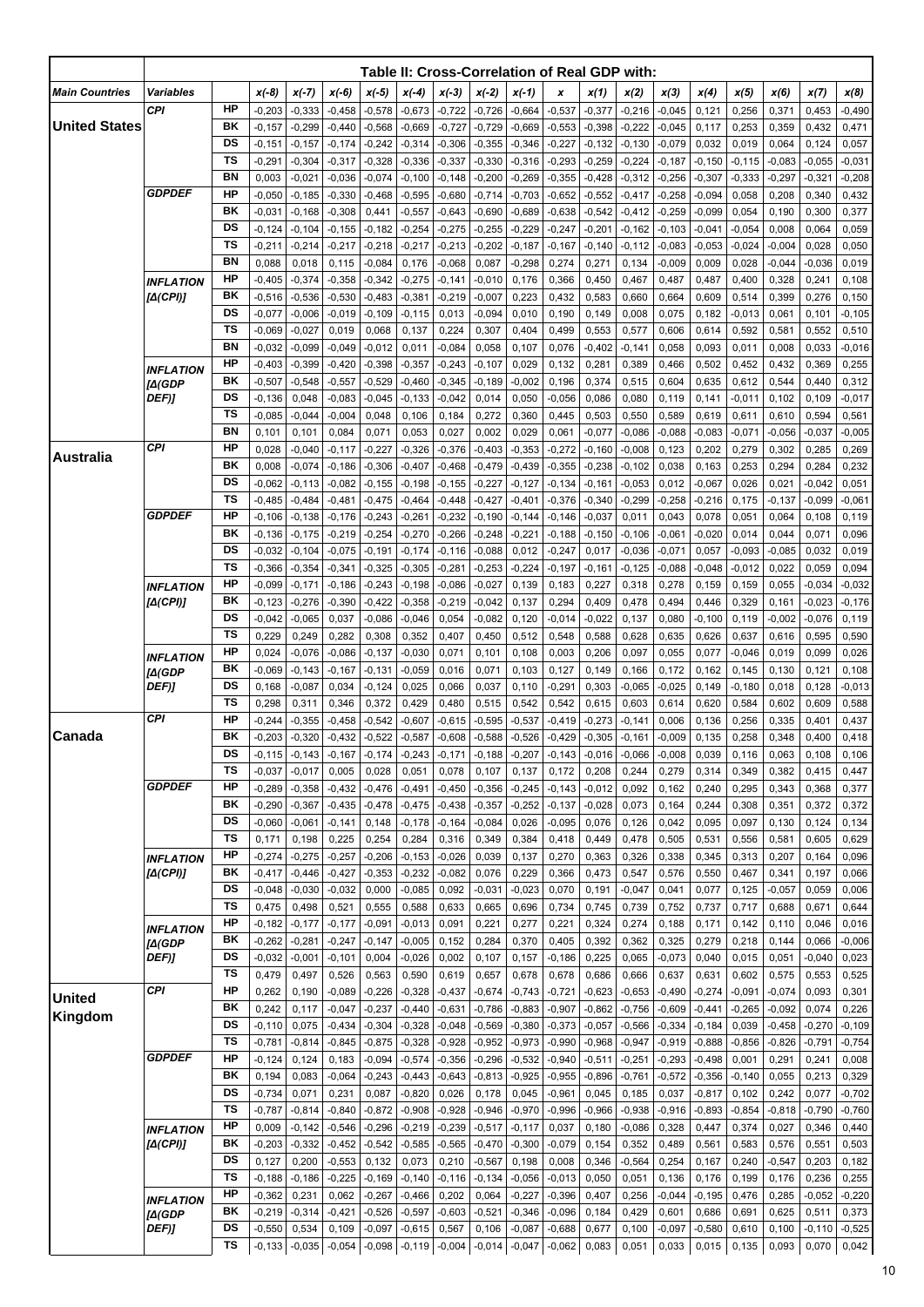|                       |                              |                 |                      |                      |                      |                      |                      |                      |                      |                      | Table II: Cross-Correlation of Real GDP with: |                      |                      |                      |                      |                   |                   |                      |                      |
|-----------------------|------------------------------|-----------------|----------------------|----------------------|----------------------|----------------------|----------------------|----------------------|----------------------|----------------------|-----------------------------------------------|----------------------|----------------------|----------------------|----------------------|-------------------|-------------------|----------------------|----------------------|
| <b>Main Countries</b> | Variables                    |                 | $x(-8)$              | $x(-7)$              | $x(-6)$              | $x(-5)$              | $x(-4)$              | $x(-3)$              | $x(-2)$              | $x(-1)$              | x                                             | x(1)                 | x(2)                 | x(3)                 | x(4)                 | x(5)              | x(6)              | x(7)                 | x(8)                 |
|                       | CPI                          | HP              | $-0,203$             | $-0,333$             | $-0,458$             | $-0,578$             | $-0,673$             | $-0,722$             | $-0,726$             | $-0,664$             | $-0.537$                                      | $-0.377$             | $-0,216$             | $-0,045$             | 0,121                | 0,256             | 0,371             | 0,453                | $-0,490$             |
| <b>United States</b>  |                              | ΒK              | $-0,157$             | $-0,299$             | $-0,440$             | $-0,568$             | $-0,669$             | $-0,727$             | $-0,729$             | $-0,669$             | $-0,553$                                      | $-0.398$             | $-0,222$             | $-0,045$             | 0,117                | 0,253             | 0,359             | 0,432                | 0,471                |
|                       |                              | DS              | $-0,151$             | $-0,157$             | $-0,174$             | $-0,242$             | $-0,314$             | $-0,306$             | $-0.355$             | $-0,346$             | $-0,227$                                      | $-0,132$             | $-0,130$             | $-0,079$             | 0,032                | 0,019             | 0,064             | 0,124                | 0,057                |
|                       |                              | <b>TS</b>       | -0,291               | $-0,304$             | -0,317               | $-0,328$             | $-0,336$             | $-0,337$             | $-0.330$             | $-0,316$             | $-0,293$                                      | $-0,259$             | $-0,224$             | $-0,187$             | $-0,150$             | $-0,115$          | $-0,083$          | $-0,055$             | $-0,031$             |
|                       | <b>GDPDEF</b>                | BN<br><b>HP</b> | 0,003<br>$-0,050$    | $-0,021$<br>$-0,185$ | $-0.036$<br>$-0,330$ | $-0,074$<br>$-0,468$ | $-0,100$<br>$-0,595$ | $-0,148$<br>$-0,680$ | $-0,200$<br>$-0,714$ | $-0,269$<br>$-0,703$ | $-0,355$<br>$-0,652$                          | $-0,428$<br>$-0,552$ | $-0,312$<br>$-0,417$ | $-0,256$<br>$-0,258$ | $-0,307$<br>$-0,094$ | $-0,333$<br>0,058 | $-0.297$<br>0,208 | $-0,321$<br>0,340    | $-0,208$<br>0,432    |
|                       |                              | BK              | $-0,031$             | $-0,168$             | $-0,308$             | 0,441                | $-0,557$             | $-0,643$             | $-0.690$             | $-0,689$             | $-0,638$                                      | $-0,542$             | $-0,412$             | $-0,259$             | $-0,099$             | 0,054             | 0,190             | 0,300                | 0,377                |
|                       |                              | DS              | $-0,124$             | $-0,104$             | $-0,155$             | -0,182               | $-0,254$             | $-0,275$             | $-0,255$             | $-0,229$             | $-0,247$                                      | $-0,201$             | $-0,162$             | $-0,103$             | $-0,041$             | $-0,054$          | 0,008             | 0,064                | 0,059                |
|                       |                              | <b>TS</b>       | $-0,211$             | $-0,214$             | $-0,217$             | $-0,218$             | $-0,217$             | $-0,213$             | $-0,202$             | $-0,187$             | $-0,167$                                      | $-0,140$             | $-0,112$             | $-0,083$             | $-0,053$             | $-0.024$          | $-0,004$          | 0,028                | 0,050                |
|                       |                              | <b>BN</b>       | 0,088                | 0,018                | 0,115                | $-0,084$             | 0,176                | $-0,068$             | 0,087                | $-0,298$             | 0,274                                         | 0,271                | 0,134                | $-0,009$             | 0,009                | 0,028             | $-0,044$          | $-0,036$             | 0,019                |
|                       | <b>INFLATION</b>             | HP              | $-0,405$             | $-0,374$             | $-0.358$             | $-0,342$             | $-0,275$             | $-0,141$             | $-0.010$             | 0,176                | 0,366                                         | 0,450                | 0,467                | 0,487                | 0,487                | 0,400             | 0,328             | 0,241                | 0,108                |
|                       | [Δ(CPI)]                     | ΒK<br>DS        | $-0,516$             | $-0,536$             | $-0,530$             | $-0,483$             | $-0,381$             | $-0,219$             | $-0,007$             | 0,223                | 0,432                                         | 0,583                | 0,660                | 0,664                | 0,609                | 0,514             | 0,399             | 0,276                | 0,150                |
|                       |                              | TS              | $-0,077$<br>$-0,069$ | $-0,006$<br>$-0,027$ | $-0,019$<br>0,019    | $-0,109$<br>0,068    | $-0,115$<br>0,137    | 0,013<br>0,224       | $-0.094$<br>0,307    | 0,010<br>0,404       | 0,190<br>0,499                                | 0,149<br>0,553       | 0,008<br>0,577       | 0,075<br>0,606       | 0,182<br>0,614       | $-0.013$<br>0,592 | 0,061<br>0,581    | 0,101<br>0,552       | $-0,105$<br>0,510    |
|                       |                              | BN              | $-0.032$             | $-0.099$             | $-0,049$             | -0,012               | 0,011                | $-0,084$             | 0,058                | 0,107                | 0,076                                         | $-0,402$             | $-0,141$             | 0,058                | 0,093                | 0,011             | 0,008             | 0,033                | $-0,016$             |
|                       | <b>INFLATION</b>             | HP              | $-0,403$             | $-0,399$             | $-0,420$             | $-0.398$             | $-0,357$             | $-0,243$             | $-0,107$             | 0,029                | 0,132                                         | 0,281                | 0,389                | 0,466                | 0,502                | 0,452             | 0,432             | 0,369                | 0,255                |
|                       | [A(GDP                       | BK              | $-0,507$             | $-0,548$             | $-0,557$             | $-0,529$             | $-0,460$             | $-0,345$             | $-0.189$             | $-0,002$             | 0,196                                         | 0,374                | 0,515                | 0,604                | 0,635                | 0,612             | 0,544             | 0,440                | 0,312                |
|                       | DEF)]                        | DS              | $-0,136$             | 0,048                | $-0,083$             | $-0.045$             | $-0,133$             | $-0.042$             | 0,014                | 0,050                | $-0,056$                                      | 0,086                | 0,080                | 0,119                | 0,141                | $-0,011$          | 0,102             | 0,109                | $-0,017$             |
|                       |                              | TS              | $-0.085$             | $-0,044$             | $-0,004$             | 0,048                | 0,106                | 0,184                | 0,272                | 0,360                | 0,445                                         | 0,503                | 0,550                | 0,589                | 0,619                | 0,611             | 0,610             | 0,594                | 0,561                |
|                       | CPI                          | <b>BN</b><br>HP | 0,101                | 0,101                | 0,084                | 0,071                | 0,053                | 0,027                | 0,002                | 0,029                | 0,061                                         | $-0,077$             | $-0,086$             | $-0,088$             | $-0,083$             | $-0,071$          | $-0.056$          | $-0,037$             | $-0,005$             |
| Australia             |                              | ΒK              | 0.028<br>0.008       | $-0,040$<br>$-0,074$ | $-0,117$<br>$-0,186$ | $-0,227$<br>$-0,306$ | $-0,326$<br>$-0,407$ | $-0,376$<br>$-0,468$ | $-0,403$<br>$-0,479$ | $-0,353$<br>$-0,439$ | $-0,272$<br>$-0,355$                          | $-0,160$<br>$-0,238$ | $-0,008$<br>$-0,102$ | 0,123<br>0,038       | 0,202<br>0,163       | 0,279<br>0,253    | 0,302<br>0,294    | 0,285<br>0,284       | 0,269<br>0,232       |
|                       |                              | DS              | $-0,062$             | $-0,113$             | $-0,082$             | $-0, 155$            | $-0,198$             | $-0,155$             | $-0,227$             | $-0,127$             | $-0,134$                                      | $-0,161$             | $-0,053$             | 0,012                | $-0,067$             | 0,026             | 0,021             | $-0,042$             | 0,051                |
|                       |                              | <b>TS</b>       | $-0,485$             | $-0,484$             | $-0,481$             | $-0,475$             | $-0,464$             | $-0,448$             | $-0,427$             | $-0,401$             | $-0,376$                                      | $-0,340$             | $-0,299$             | $-0,258$             | $-0,216$             | 0,175             | $-0,137$          | $-0.099$             | $-0,061$             |
|                       | <b>GDPDEF</b>                | HP              | $-0,106$             | $-0,138$             | $-0,176$             | $-0,243$             | $-0,261$             | $-0,232$             | $-0,190$             | $-0,144$             | $-0,146$                                      | $-0,037$             | 0,011                | 0,043                | 0,078                | 0,051             | 0,064             | 0,108                | 0,119                |
|                       |                              | ΒK              | $-0,136$             | $-0,175$             | $-0,219$             | $-0,254$             | $-0,270$             | $-0,266$             | $-0,248$             | $-0,221$             | $-0,188$                                      | $-0,150$             | $-0,106$             | $-0,061$             | $-0,020$             | 0,014             | 0,044             | 0,071                | 0,096                |
|                       |                              | DS              | $-0,032$             | $-0,104$             | $-0,075$             | $-0,191$             | $-0,174$             | $-0,116$             | $-0.088$             | 0,012                | $-0,247$                                      | 0,017                | $-0,036$             | $-0,071$             | 0,057                | $-0,093$          | $-0.085$          | 0,032                | 0,019                |
|                       |                              | <b>TS</b><br>HP | $-0,366$             | $-0,354$             | $-0,341$             | $-0,325$             | $-0,305$             | $-0,281$             | $-0,253$<br>$-0,027$ | $-0,224$             | $-0,197$                                      | $-0,161$             | $-0,125$             | $-0,088$             | $-0,048$             | $-0,012$          | 0,022             | 0,059                | 0,094                |
|                       | <b>INFLATION</b><br>[Δ(CPI)] | ΒK              | $-0.099$<br>$-0,123$ | $-0,171$<br>$-0,276$ | $-0,186$<br>$-0.390$ | $-0,243$<br>$-0,422$ | $-0,198$<br>$-0,358$ | $-0.086$<br>$-0,219$ | $-0.042$             | 0,139<br>0,137       | 0,183<br>0,294                                | 0,227<br>0,409       | 0,318<br>0,478       | 0,278<br>0,494       | 0,159<br>0,446       | 0,159<br>0,329    | 0,055<br>0,161    | $-0.034$<br>$-0,023$ | $-0,032$<br>$-0,176$ |
|                       |                              | DS              | $-0,042$             | $-0,065$             | 0,037                | $-0.086$             | $-0,046$             | 0,054                | $-0,082$             | 0,120                | $-0,014$                                      | $-0,022$             | 0,137                | 0,080                | $-0,100$             | 0,119             | $-0,002$          | $-0,076$             | 0,119                |
|                       |                              | <b>TS</b>       | 0,229                | 0,249                | 0,282                | 0,308                | 0,352                | 0,407                | 0,450                | 0,512                | 0,548                                         | 0,588                | 0,628                | 0,635                | 0,626                | 0,637             | 0,616             | 0,595                | 0,590                |
|                       | <b>INFLATION</b>             | <b>HP</b>       | 0,024                | $-0,076$             | $-0.086$             | $-0,137$             | $-0,030$             | 0,071                | 0,101                | 0,108                | 0,003                                         | 0,206                | 0,097                | 0,055                | 0,077                | $-0,046$          | 0,019             | 0,099                | 0,026                |
|                       | [A(GDP                       | ΒK              | $-0,069$             | $-0,143$             | $-0,167$             | -0,131               | $-0,059$             | 0,016                | 0,071                | 0,103                | 0,127                                         | 0,149                | 0,166                | 0,172                | 0,162                | 0,145             | 0,130             | 0,121                | 0,108                |
|                       | DEF)]                        | DS<br>TS        | 0,168                | $-0,087$             | 0,034                | $-0,124$             | 0,025                | 0,066                | 0,037                | 0,110                | $-0,291$                                      | 0,303                | $-0,065$             | $-0,025$             | 0,149                | -0,180            | 0,018             | 0,128                | $-0,013$             |
|                       | CPI                          | HP              | 0,298<br>$-0,244$    | 0,311<br>$-0,355$    | 0,346<br>$-0,458$    | 0,372<br>$-0,542$    | 0,429<br>$-0,607$    | 0,480<br>$-0.615$    | 0,515<br>$-0.595$    | 0,542<br>$-0,537$    | 0,542<br>$-0,419$                             | 0,615<br>$-0,273$    | 0,603<br>$-0,141$    | 0,614<br>0,006       | 0,620<br>0,136       | 0,584<br>0,256    | 0,602<br>0,335    | 0,609<br>0,401       | 0,588<br>0,437       |
| Canada                |                              | BK              | $-0,203$             | $-0,320$             | $-0,432$             | $-0,522$             | $-0,587$             | $-0,608$             | $-0.588$             | $-0,526$             | $-0,429$                                      | $-0,305$             | $-0,161$             | $-0,009$             | 0,135                | 0,258             | 0,348             | 0,400                | 0,418                |
|                       |                              | DS              | $-0,115$             | $-0,143$             | $-0,167$             | $-0,174$             | $-0,243$             | $-0,171$             | $-0,188$             | $-0,207$             | $-0,143$                                      | $-0,016$             | $-0,066$             | $-0,008$             | 0,039                | 0,116             | 0,063             | 0,108                | 0,106                |
|                       |                              | ΤS              | $-0,037$             | $-0,017$             | 0,005                | 0,028                | 0,051                | 0,078                | 0,107                | 0,137                | 0,172                                         | 0,208                | 0,244                | 0,279                | 0,314                | 0,349             | 0,382             | 0,415                | 0,447                |
|                       | <b>GDPDEF</b>                | HP              | $-0,289$             | $-0,358$             | $-0,432$             | $-0,476$             | $-0,491$             | $-0,450$             | $-0,356$             | $-0,245$             | $-0,143$                                      | $-0,012$             | 0,092                | 0,162                | 0,240                | 0,295             | 0,343             | 0,368                | 0,377                |
|                       |                              | ΒK              | $-0,290$             | $-0,367$             | $-0,435$             | $-0,478$             | $-0,475$             | $-0,438$             | $-0,357$             | $-0,252$             | $-0,137$                                      | $-0,028$             | 0,073                | 0,164                | 0,244                | 0,308             | 0,351             | 0,372                | 0,372                |
|                       |                              | DS<br><b>TS</b> | $-0,060$<br>0,171    | $-0,061$<br>0,198    | $-0,141$<br>0,225    | 0,148<br>0,254       | $-0,178$<br>0,284    | $-0,164$<br>0,316    | $-0,084$<br>0,349    | 0,026<br>0,384       | $-0,095$<br>0,418                             | 0,076<br>0,449       | 0,126<br>0,478       | 0,042<br>0,505       | 0,095<br>0,531       | 0,097<br>0,556    | 0,130<br>0,581    | 0,124<br>0,605       | 0,134<br>0,629       |
|                       | <b>INFLATION</b>             | HP              | $-0,274$             | $-0,275$             | $-0,257$             | $-0,206$             | $-0, 153$            | $-0,026$             | 0,039                | 0,137                | 0,270                                         | 0,363                | 0,326                | 0,338                | 0,345                | 0,313             | 0,207             | 0,164                | 0,096                |
|                       | [Δ(CPI)]                     | ΒK              | $-0,417$             | $-0,446$             | $-0,427$             | $-0,353$             | $-0,232$             | $-0,082$             | 0,076                | 0,229                | 0,366                                         | 0,473                | 0,547                | 0,576                | 0,550                | 0,467             | 0,341             | 0,197                | 0,066                |
|                       |                              | DS              | $-0,048$             | $-0,030$             | $-0,032$             | 0,000                | $-0,085$             | 0,092                | $-0,031$             | $-0,023$             | 0,070                                         | 0,191                | $-0,047$             | 0,041                | 0,077                | 0,125             | $-0,057$          | 0,059                | 0,006                |
|                       |                              | <b>TS</b>       | 0,475                | 0,498                | 0,521                | 0,555                | 0,588                | 0,633                | 0,665                | 0,696                | 0,734                                         | 0,745                | 0,739                | 0,752                | 0,737                | 0,717             | 0,688             | 0,671                | 0,644                |
|                       | <b>INFLATION</b>             | HP<br>BK        | $-0,182$             | $-0,177$             | $-0,177$             | $-0,091$             | $-0,013$             | 0,091                | 0,221                | 0,277                | 0,221                                         | 0,324                | 0,274                | 0,188                | 0,171                | 0,142             | 0,110             | 0,046                | 0,016                |
|                       | [A(GDP<br>DEF)]              | DS              | $-0,262$<br>$-0,032$ | $-0,281$<br>$-0,001$ | $-0,247$<br>$-0,101$ | $-0,147$<br>0,004    | $-0,005$<br>$-0,026$ | 0,152<br>0,002       | 0,284<br>0,107       | 0,370<br>0,157       | 0,405<br>$-0,186$                             | 0,392<br>0,225       | 0,362<br>0,065       | 0,325<br>$-0,073$    | 0,279<br>0,040       | 0,218<br>0,015    | 0,144<br>0,051    | 0,066<br>$-0,040$    | $-0,006$<br>0,023    |
|                       |                              | ΤS              | 0,479                | 0,497                | 0,526                | 0,563                | 0,590                | 0,619                | 0,657                | 0,678                | 0,678                                         | 0,686                | 0,666                | 0,637                | 0,631                | 0,602             | 0,575             | 0,553                | 0,525                |
| <b>United</b>         | CPI                          | HP              | 0,262                | 0,190                | $-0,089$             | $-0,226$             | $-0,328$             | $-0,437$             | $-0,674$             | $-0,743$             | $-0,721$                                      | $-0,623$             | $-0,653$             | $-0,490$             | $-0,274$             | $-0,091$          | $-0,074$          | 0,093                | 0,301                |
| Kingdom               |                              | ΒK              | 0,242                | 0,117                | $-0,047$             | $-0,237$             | $-0,440$             | $-0,631$             | $-0,786$             | $-0,883$             | $-0,907$                                      | $-0,862$             | $-0,756$             | $-0,609$             | $-0,441$             | $-0,265$          | $-0,092$          | 0,074                | 0,226                |
|                       |                              | DS<br><b>TS</b> | $-0,110$             | 0,075                | $-0,434$             | $-0,304$             | $-0,328$             | $-0,048$             | $-0,569$             | $-0,380$             | $-0,373$                                      | $-0,057$             | $-0,566$             | $-0,334$             | $-0,184$             | 0,039             | $-0,458$          | $-0,270$             | $-0,109$             |
|                       | <b>GDPDEF</b>                | HP              | $-0,781$<br>$-0,124$ | $-0,814$<br>0,124    | $-0,845$<br>0,183    | $-0,875$<br>$-0,094$ | $-0,328$<br>$-0,574$ | $-0,928$<br>$-0,356$ | $-0,952$<br>$-0,296$ | $-0,973$<br>$-0,532$ | $-0,990$<br>$-0,940$                          | $-0,968$<br>$-0,511$ | $-0,947$<br>$-0,251$ | $-0,919$<br>$-0,293$ | $-0,888$<br>$-0,498$ | $-0,856$<br>0,001 | $-0,826$<br>0,291 | $-0,791$<br>0,241    | $-0,754$<br>0,008    |
|                       |                              | ΒK              | 0,194                | 0,083                | $-0,064$             | $-0,243$             | $-0,443$             | $-0,643$             | $-0,813$             | $-0,925$             | $-0,955$                                      | $-0,896$             | $-0,761$             | $-0,572$             | $-0,356$             | $-0,140$          | 0,055             | 0,213                | 0,329                |
|                       |                              | DS              | $-0,734$             | 0,071                | 0,231                | 0,087                | $-0,820$             | 0,026                | 0,178                | 0,045                | $-0,961$                                      | 0,045                | 0,185                | 0,037                | $-0,817$             | 0,102             | 0,242             | 0,077                | $-0,702$             |
|                       |                              | TS              | $-0,787$             | $-0,814$             | $-0,840$             | $-0,872$             | $-0,908$             | $-0,928$             | $-0,946$             | $-0,970$             | $-0,996$                                      | $-0,966$             | $-0,938$             | $-0,916$             | $-0,893$             | $-0,854$          | $-0,818$          | $-0,790$             | $-0,760$             |
|                       | <b>INFLATION</b>             | HP              | 0,009                | $-0,142$             | $-0,546$             | $-0,296$             | $-0,219$             | $-0,239$             | $-0,517$             | $-0,117$             | 0,037                                         | 0,180                | $-0,086$             | 0,328                | 0,447                | 0,374             | 0,027             | 0,346                | 0,440                |
|                       | [Δ(CPI)]                     | ΒK              | $-0,203$             | $-0,332$             | $-0,452$             | $-0,542$             | $-0,585$             | $-0,565$             | $-0,470$             | $-0,300$             | $-0,079$                                      | 0,154                | 0,352                | 0,489                | 0,561                | 0,583             | 0,576             | 0,551                | 0,503                |
|                       |                              | DS<br>TS        | 0,127                | 0,200<br>$-0,186$    | $-0,553$<br>$-0,225$ | 0,132<br>$-0,169$    | 0,073<br>$-0,140$    | 0,210<br>$-0,116$    | $-0,567$<br>$-0,134$ | 0,198<br>$-0,056$    | 0,008<br>$-0,013$                             | 0,346<br>0,050       | $-0,564$<br>0,051    | 0,254<br>0,136       | 0,167<br>0,176       | 0,240<br>0,199    | $-0,547$<br>0,176 | 0,203<br>0,236       | 0,182                |
|                       |                              | HP              | $-0,188$<br>$-0,362$ | 0,231                | 0,062                | $-0,267$             | $-0,466$             | 0,202                | 0,064                | $-0,227$             | $-0,396$                                      | 0,407                | 0,256                | $-0,044$             | $-0,195$             | 0,476             | 0,285             | $-0,052$             | 0,255<br>$-0,220$    |
|                       | <b>INFLATION</b><br>[A(GDP   | ΒK              | $-0,219$             | $-0,314$             | $-0,421$             | $-0,526$             | $-0,597$             | $-0,603$             | $-0,521$             | $-0,346$             | $-0,096$                                      | 0,184                | 0,429                | 0,601                | 0,686                | 0,691             | 0,625             | 0,511                | 0,373                |
|                       | DEF)]                        | DS              | $-0,550$             | 0,534                | 0,109                | $-0,097$             | $-0,615$             | 0,567                | 0,106                | $-0,087$             | $-0,688$                                      | 0,677                | 0,100                | $-0,097$             | $-0,580$             | 0,610             | 0,100             | $-0,110$             | $-0,525$             |
|                       |                              | ΤS              | $-0,133$             | $-0,035$             | $-0,054$             | $-0,098$             | $-0,119$             | $-0,004$             | $-0,014$             | $-0,047$             | $-0,062$                                      | 0,083                | 0,051                | 0,033                | 0,015                | 0,135             | 0,093             | 0,070                | 0,042                |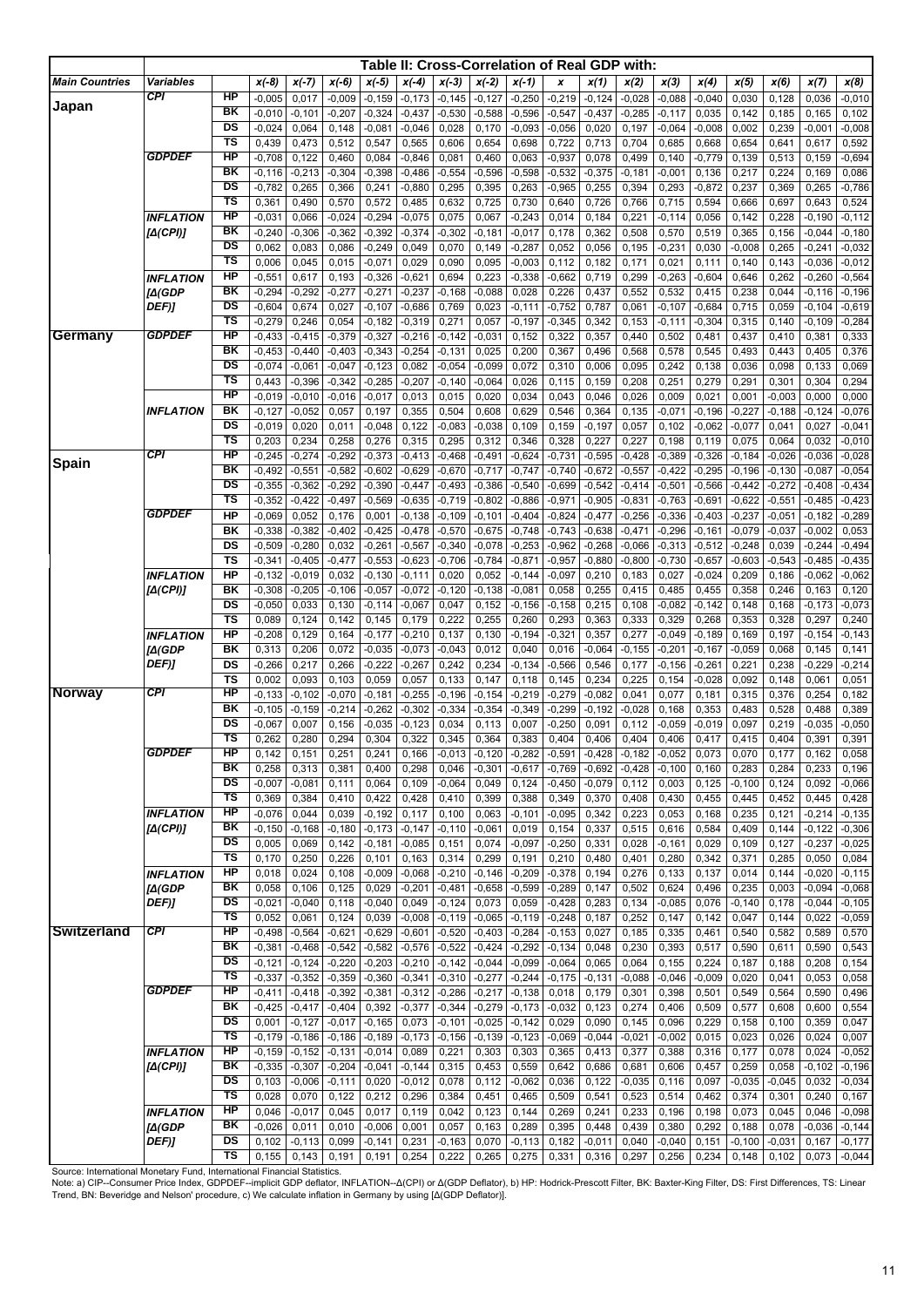|                       |                            |                                   |                      |                      |                      |                      |                      |                      | Table II: Cross-Correlation of Real GDP with: |                      |                      |                   |                   |                   |                      |                      |                   |                      |                      |
|-----------------------|----------------------------|-----------------------------------|----------------------|----------------------|----------------------|----------------------|----------------------|----------------------|-----------------------------------------------|----------------------|----------------------|-------------------|-------------------|-------------------|----------------------|----------------------|-------------------|----------------------|----------------------|
| <b>Main Countries</b> | <b>Variables</b>           |                                   | $x(-8)$              | $x(-7)$              | $x(-6)$              | $x(-5)$              | $x(-4)$              | $x(-3)$              | $x(-2)$                                       | $x(-1)$              | x                    | x(1)              | x(2)              | x(3)              | x(4)                 | x(5)                 | x(6)              | x(7)                 | x(8)                 |
|                       | CPI                        | HP                                | $-0,005$             | 0,017                | $-0,009$             | $-0,159$             | $-0,173$             | $-0,145$             | $-0,127$                                      | $-0,250$             | $-0,219$             | $-0,124$          | $-0,028$          | $-0,088$          | $-0,040$             | 0,030                | 0,128             | 0,036                | $-0,010$             |
| Japan                 |                            | BK                                | $-0,010$             | $-0,101$             | $-0,207$             | $-0,324$             | $-0,437$             | $-0,530$             | $-0,588$                                      | $-0,596$             | $-0,547$             | $-0,437$          | $-0,285$          | $-0,117$          | 0,035                | 0,142                | 0,185             | 0,165                | 0,102                |
|                       |                            | DS                                | $-0,024$             | 0,064                | 0,148                | $-0,081$             | $-0,046$             | 0,028                | 0,170                                         | $-0,093$             | $-0,056$             | 0,020             | 0,197             | $-0,064$          | $-0,008$             | 0,002                | 0,239             | $-0,001$             | $-0,008$             |
|                       |                            | $\overline{\mathsf{r}}\mathsf{s}$ | 0,439                | 0,473                | 0,512                | 0,547                | 0,565                | 0,606                | 0,654                                         | 0,698                | 0,722                | 0,713             | 0,704             | 0,685             | 0,668                | 0,654                | 0,641             | 0,617                | 0,592                |
|                       | <b>GDPDEF</b>              | HP                                | $-0,708$             | 0,122                | 0,460                | 0,084                | $-0,846$             | 0,081                | 0,460                                         | 0,063                | $-0,937$             | 0,078             | 0,499             | 0,140             | $-0,779$             | 0,139                | 0,513             | 0,159                | $-0,694$             |
|                       |                            | $\overline{\mathsf{B}}$ K         | $-0,116$             | $-0,213$             | $-0,304$             | $-0,398$             | $-0,486$             | $-0,554$             | $-0,596$                                      | $-0,598$             | $-0,532$             | $-0,375$          | $-0,181$          | $-0,001$          | 0,136                | 0,217                | 0,224             | 0,169                | 0,086                |
|                       |                            | DS                                | $-0,782$             | 0,265                | 0,366                | 0,241                | $-0,880$             | 0,295                | 0,395                                         | 0,263                | $-0,965$             | 0,255             | 0,394             | 0,293             | $-0,872$             | 0,237                | 0,369             | 0,265                | $-0,786$             |
|                       |                            | $\overline{\mathsf{TS}}$          | 0,361                | 0,490                | 0,570                | 0,572                | 0,485                | 0,632                | 0,725                                         | 0,730                | 0,640                | 0,726             | 0,766             | 0,715             | 0,594                | 0,666                | 0,697             | 0,643                | 0,524                |
|                       | <b>INFLATION</b>           | HP<br>BK                          | $-0,031$             | 0,066                | $-0,024$             | $-0,294$             | $-0.075$             | 0,075                | 0,067                                         | $-0,243$             | 0,014                | 0,184             | 0,221             | $-0,114$          | 0,056                | 0,142                | 0,228             | $-0,190$             | $-0,112$             |
|                       | [Δ(CPI)]                   | $\overline{DS}$                   | $-0,240$<br>0,062    | $-0,306$<br>0,083    | $-0,362$<br>0,086    | $-0,392$<br>$-0,249$ | $-0,374$<br>0,049    | $-0,302$<br>0,070    | $-0,181$<br>0,149                             | $-0,017$<br>$-0,287$ | 0,178<br>0,052       | 0,362<br>0,056    | 0,508<br>0,195    | 0,570<br>$-0,231$ | 0,519<br>0,030       | 0,365<br>$-0,008$    | 0,156<br>0,265    | $-0,044$<br>$-0,241$ | $-0,180$<br>$-0,032$ |
|                       |                            | TS                                | 0,006                | 0,045                | 0,015                | $-0,071$             | 0,029                | 0,090                | 0,095                                         | $-0,003$             | 0,112                | 0,182             | 0,171             | 0,021             | 0,111                | 0,140                | 0,143             | $-0,036$             | $-0,012$             |
|                       | <b>INFLATION</b>           | $\overline{H}$                    | $-0,551$             | 0,617                | 0,193                | $-0,326$             | $-0,621$             | 0,694                | 0,223                                         | $-0,338$             | $-0,662$             | 0,719             | 0,299             | $-0,263$          | $-0,604$             | 0,646                | 0,262             | $-0,260$             | $-0,564$             |
|                       | [A(GDP                     | BK                                | $-0,294$             | $-0,292$             | $-0,277$             | $-0,271$             | $-0,237$             | $-0,168$             | $-0,088$                                      | 0,028                | 0,226                | 0,437             | 0,552             | 0,532             | 0,415                | 0,238                | 0,044             | $-0,116$             | $-0,196$             |
|                       | DEF)]                      | DS                                | $-0,604$             | 0,674                | 0,027                | $-0,107$             | $-0,686$             | 0,769                | 0,023                                         | $-0,111$             | $-0,752$             | 0,787             | 0,061             | $-0,107$          | $-0,684$             | 0,715                | 0,059             | $-0,104$             | $-0,619$             |
|                       |                            | $\overline{\mathsf{TS}}$          | $-0,279$             | 0,246                | 0,054                | $-0,182$             | $-0,319$             | 0,271                | 0,057                                         | $-0,197$             | $-0,345$             | 0,342             | 0,153             | $-0,111$          | $-0,304$             | 0,315                | 0,140             | $-0,109$             | $-0,284$             |
| Germany               | <b>GDPDEF</b>              | HP                                | $-0,433$             | $-0,415$             | $-0,379$             | $-0,327$             | $-0,216$             | $-0,142$             | $-0,031$                                      | 0,152                | 0,322                | 0,357             | 0,440             | 0,502             | 0,481                | 0,437                | 0,410             | 0,381                | 0,333                |
|                       |                            | BK                                | $-0,453$             | $-0,440$             | $-0,403$             | $-0,343$             | $-0,254$             | $-0,131$             | 0,025                                         | 0,200                | 0,367                | 0,496             | 0,568             | 0,578             | 0,545                | 0,493                | 0,443             | 0,405                | 0,376                |
|                       |                            | DS                                | $-0,074$             | $-0,061$             | $-0,047$             | $-0,123$             | 0,082                | $-0,054$             | $-0.099$                                      | 0,072                | 0,310                | 0,006             | 0,095             | 0,242             | 0,138                | 0,036                | 0,098             | 0,133                | 0,069                |
|                       |                            | $\overline{\mathsf{TS}}$          | 0,443                | $-0,396$             | $-0,342$             | $-0,285$             | $-0,207$             | $-0,140$             | $-0,064$                                      | 0,026                | 0,115                | 0,159             | 0,208             | 0,251             | 0,279                | 0,291                | 0,301             | 0,304                | 0,294                |
|                       |                            | HP<br>BK                          | $-0,019$             | $-0,010$             | $-0,016$             | $-0,017$             | 0,013                | 0,015                | 0,020                                         | 0,034                | 0,043                | 0,046             | 0,026             | 0,009             | 0,021                | 0,001                | $-0,003$          | 0,000                | 0,000                |
|                       | INFLATION                  | $\overline{\mathsf{DS}}$          | $-0,127$<br>$-0,019$ | $-0,052$<br>0,020    | 0,057<br>0,011       | 0,197<br>$-0,048$    | 0,355<br>0,122       | 0,504<br>$-0,083$    | 0,608<br>$-0,038$                             | 0,629<br>0,109       | 0,546<br>0,159       | 0,364<br>$-0,197$ | 0,135<br>0,057    | $-0,071$<br>0,102 | $-0,196$<br>$-0,062$ | $-0,227$<br>$-0,077$ | $-0,188$<br>0,041 | $-0,124$<br>0,027    | $-0,076$<br>$-0,041$ |
|                       |                            | $\overline{\mathsf{TS}}$          | 0,203                | 0,234                | 0,258                | 0,276                | 0,315                | 0,295                | 0,312                                         | 0,346                | 0,328                | 0,227             | 0,227             | 0,198             | 0,119                | 0,075                | 0,064             | 0,032                | $-0,010$             |
|                       | <b>CPI</b>                 | HP                                | $-0,245$             | $-0,274$             | $-0,292$             | $-0,373$             | $-0,413$             | $-0,468$             | $-0,491$                                      | $-0,624$             | $-0,731$             | $-0,595$          | $-0,428$          | $-0,389$          | $-0,326$             | $-0,184$             | $-0,026$          | $-0,036$             | $-0,028$             |
| Spain                 |                            | $\overline{\mathsf{B}}$ K         | $-0,492$             | $-0,551$             | $-0,582$             | $-0,602$             | $-0,629$             | $-0,670$             | $-0,717$                                      | $-0,747$             | $-0,740$             | $-0,672$          | $-0,557$          | $-0,422$          | $-0,295$             | $-0,196$             | $-0,130$          | $-0.087$             | $-0,054$             |
|                       |                            | DS                                | $-0,355$             | $-0,362$             | $-0,292$             | $-0,390$             | $-0,447$             | $-0,493$             | $-0,386$                                      | $-0,540$             | $-0,699$             | $-0,542$          | $-0,414$          | $-0,501$          | $-0,566$             | $-0,442$             | $-0,272$          | $-0,408$             | $-0,434$             |
|                       |                            | $\overline{\mathsf{TS}}$          | $-0,352$             | $-0,422$             | $-0,497$             | $-0,569$             | $-0,635$             | $-0,719$             | $-0,802$                                      | $-0,886$             | $-0,971$             | $-0,905$          | $-0,831$          | $-0,763$          | $-0,691$             | $-0,622$             | $-0,551$          | $-0,485$             | $-0,423$             |
|                       | <b>GDPDEF</b>              | <b>HP</b>                         | $-0,069$             | 0,052                | 0,176                | 0,001                | $-0,138$             | $-0,109$             | $-0,101$                                      | $-0,404$             | $-0,824$             | $-0,477$          | $-0,256$          | $-0,336$          | $-0,403$             | $-0,237$             | $-0,051$          | $-0,182$             | $-0,289$             |
|                       |                            | BK                                | $-0,338$             | $-0,382$             | $-0,402$             | $-0,425$             | $-0,478$             | $-0,570$             | $-0,675$                                      | $-0,748$             | $-0,743$             | $-0,638$          | $-0,471$          | $-0,296$          | $-0,161$             | $-0,079$             | $-0,037$          | $-0,002$             | 0,053                |
|                       |                            | DS                                | $-0,509$             | $-0,280$             | 0,032                | $-0,261$             | $-0,567$             | $-0,340$             | $-0,078$                                      | $-0,253$             | $-0,962$             | $-0,268$          | $-0,066$          | $-0,313$          | $-0,512$             | $-0,248$             | 0,039             | $-0,244$             | $-0,494$             |
|                       |                            | <b>TS</b>                         | $-0,341$             | $-0,405$             | $-0,477$             | $-0,553$             | $-0,623$             | $-0,706$             | $-0,784$                                      | $-0,871$             | $-0,957$             | $-0,880$          | $-0,800$          | $-0,730$          | $-0,657$             | $-0,603$             | $-0,543$          | $-0,485$             | $-0,435$             |
|                       | <b>INFLATION</b>           | <b>HP</b>                         | $-0,132$             | $-0,019$             | 0,032                | $-0,130$             | $-0,111$             | 0,020                | 0,052                                         | $-0,144$             | $-0,097$             | 0,210             | 0,183             | 0,027             | $-0,024$             | 0,209                | 0,186             | $-0,062$             | $-0,062$             |
|                       | [A(CPI)]                   | BK<br>DS                          | $-0,308$             | $-0,205$             | $-0,106$             | $-0,057$<br>$-0,114$ | $-0,072$<br>$-0,067$ | $-0,120$             | $-0,138$<br>0,152                             | $-0,081$             | 0,058                | 0,255<br>0,215    | 0,415             | 0,485<br>$-0,082$ | 0,455<br>$-0,142$    | 0,358                | 0,246             | 0,163<br>$-0,173$    | 0,120<br>$-0,073$    |
|                       |                            | <b>TS</b>                         | $-0,050$<br>0,089    | 0,033<br>0,124       | 0,130<br>0,142       | 0,145                | 0,179                | 0,047<br>0,222       | 0,255                                         | $-0,156$<br>0,260    | $-0,158$<br>0,293    | 0,363             | 0,108<br>0,333    | 0,329             | 0,268                | 0,148<br>0,353       | 0,168<br>0,328    | 0,297                | 0,240                |
|                       | <b>INFLATION</b>           | <b>HP</b>                         | $-0,208$             | 0,129                | 0,164                | $-0,177$             | $-0,210$             | 0,137                | 0,130                                         | $-0,194$             | $-0,321$             | 0,357             | 0,277             | $-0,049$          | $-0,189$             | 0,169                | 0,197             | $-0, 154$            | $-0,143$             |
|                       | [∆(GDP                     | BK                                | 0,313                | 0,206                | 0,072                | $-0,035$             | $-0,073$             | $-0,043$             | 0,012                                         | 0,040                | 0,016                | $-0,064$          | $-0,155$          | $-0,201$          | $-0,167$             | $-0,059$             | 0,068             | 0,145                | 0,141                |
|                       | DEF)]                      | DS                                | $-0,266$             | 0,217                | 0,266                | $-0,222$             | $-0,267$             | 0,242                | 0,234                                         | $-0,134$             | $-0,566$             | 0,546             | 0,177             | $-0,156$          | $-0,261$             | 0,221                | 0,238             | $-0,229$             | $-0,214$             |
|                       |                            | <b>TS</b>                         | 0,002                | 0,093                | 0,103                | 0,059                | 0,057                | 0,133                | 0,147                                         | 0,118                | 0,145                | 0,234             | 0,225             | 0,154             | $-0,028$             | 0,092                | 0,148             | 0,061                | 0,051                |
| <b>Norway</b>         | CPI                        | $\overline{H}$                    | $-0,133$             | $-0,102$             | $-0,070$             | $-0,181$             | $-0,255$             | $-0,196$             | $-0, 154$                                     | $-0,219$             | $-0,279$             | $-0,082$          | 0,041             | 0,077             | 0,181                | 0,315                | 0,376             | 0,254                | 0,182                |
|                       |                            | ΒK                                | $-0,105$             | $-0,159$             | $-0,214$             | $-0,262$             | $-0,302$             | $-0,334$             | $-0,354$                                      | $-0,349$             | $-0,299$             | $-0,192$          | $-0,028$          | 0,168             | 0,353                | 0,483                | 0,528             | 0,488                | 0,389                |
|                       |                            | DS<br>TS                          | $-0,067$             | 0,007                | 0,156                | $-0,035$             | $-0, 123$            | 0,034                | 0,113                                         | 0,007                | $-0,250$             | 0,091             | 0,112             | $-0,059$          | $-0,019$             | 0,097                | 0,219             | $-0,035$             | $-0,050$             |
|                       | <i><b>GDPDEF</b></i>       | НP                                | 0,262<br>0,142       | 0,280<br>0,151       | 0,294<br>0,251       | 0,304<br>0,241       | 0,322<br>0,166       | 0,345<br>$-0,013$    | 0,364<br>$-0,120$                             | 0,383<br>$-0,282$    | 0,404<br>$-0,591$    | 0,406<br>$-0,428$ | 0,404<br>$-0,182$ | 0,406<br>$-0,052$ | 0,417<br>0,073       | 0,415<br>0,070       | 0,404<br>0,177    | 0,391<br>0,162       | 0,391<br>0,058       |
|                       |                            | BK                                | 0,258                | 0,313                | 0,381                | 0,400                | 0,298                | 0,046                | $-0,301$                                      | $-0,617$             | $-0,769$             | $-0,692$          | $-0,428$          | $-0,100$          | 0,160                | 0,283                | 0,284             | 0,233                | 0,196                |
|                       |                            | DS                                | $-0,007$             | $-0,081$             | 0,111                | 0,064                | 0,109                | $-0,064$             | 0,049                                         | 0,124                | $-0,450$             | $-0,079$          | 0,112             | 0,003             | 0,125                | $-0,100$             | 0,124             | 0,092                | $-0,066$             |
|                       |                            | TS                                | 0,369                | 0,384                | 0,410                | 0,422                | 0,428                | 0,410                | 0,399                                         | 0,388                | 0,349                | 0,370             | 0,408             | 0,430             | 0,455                | 0,445                | 0,452             | 0,445                | 0,428                |
|                       | <b>INFLATION</b>           | HP                                | $-0,076$             | 0,044                | 0,039                | $-0,192$             | 0,117                | 0,100                | 0,063                                         | $-0,101$             | $-0,095$             | 0,342             | 0,223             | 0,053             | 0,168                | 0,235                | 0,121             | $-0,214$             | $-0,135$             |
|                       | [A(CPI)]                   | BK                                | $-0,150$             | $-0,168$             | $-0,180$             | $-0,173$             | $-0,147$             | $-0,110$             | $-0,061$                                      | 0,019                | 0,154                | 0,337             | 0,515             | 0,616             | 0,584                | 0,409                | 0,144             | $-0,122$             | $-0,306$             |
|                       |                            | DS                                | 0,005                | 0,069                | 0,142                | $-0,181$             | $-0,085$             | 0,151                | 0,074                                         | $-0,097$             | $-0,250$             | 0,331             | 0,028             | $-0,161$          | 0,029                | 0,109                | 0,127             | $-0,237$             | $-0,025$             |
|                       |                            | $\overline{\mathsf{TS}}$<br>HP    | 0,170                | 0,250                | 0,226                | 0,101                | 0,163                | 0,314                | 0,299                                         | 0,191                | 0,210                | 0,480             | 0,401             | 0,280             | 0,342                | 0,371                | 0,285             | 0,050                | 0,084                |
|                       | <b>INFLATION</b><br>[A(GDP | BK                                | 0,018<br>0,058       | 0,024<br>0,106       | 0,108<br>0,125       | $-0,009$<br>0,029    | $-0,068$<br>$-0,201$ | $-0,210$<br>$-0,481$ | $-0,146$<br>$-0,658$                          | $-0,209$<br>$-0,599$ | $-0,378$<br>$-0,289$ | 0,194<br>0,147    | 0,276<br>0,502    | 0,133<br>0,624    | 0,137<br>0,496       | 0,014<br>0,235       | 0,144<br>0,003    | $-0,020$<br>$-0,094$ | $-0,115$<br>$-0,068$ |
|                       | DEF)]                      | DS                                | $-0,021$             | $-0,040$             | 0,118                | $-0,040$             | 0,049                | $-0,124$             | 0,073                                         | 0,059                | $-0,428$             | 0,283             | 0,134             | $-0,085$          | 0,076                | $-0,140$             | 0,178             | $-0,044$             | $-0,105$             |
|                       |                            | TS                                | 0,052                | 0,061                | 0,124                | 0,039                | $-0,008$             | $-0,119$             | $-0,065$                                      | $-0,119$             | $-0,248$             | 0,187             | 0,252             | 0,147             | 0,142                | 0,047                | 0,144             | 0,022                | $-0,059$             |
| <b>Switzerland</b>    | CPI                        | HP                                | $-0,498$             | $-0,564$             | $-0,621$             | $-0,629$             | $-0,601$             | $-0,520$             | $-0,403$                                      | $-0,284$             | $-0,153$             | 0,027             | 0,185             | 0,335             | 0,461                | 0,540                | 0,582             | 0,589                | 0,570                |
|                       |                            | BK                                | $-0,381$             | $-0,468$             | $-0,542$             | $-0,582$             | $-0,576$             | $-0,522$             | $-0,424$                                      | $-0,292$             | $-0,134$             | 0,048             | 0,230             | 0,393             | 0,517                | 0,590                | 0,611             | 0,590                | 0,543                |
|                       |                            | DS                                | $-0,121$             | $-0,124$             | $-0,220$             | $-0,203$             | $-0,210$             | $-0,142$             | $-0,044$                                      | $-0,099$             | $-0,064$             | 0,065             | 0,064             | 0,155             | 0,224                | 0,187                | 0,188             | 0,208                | 0,154                |
|                       |                            | $\overline{\mathsf{TS}}$          | $-0,337$             | $-0,352$             | $-0,359$             | $-0,360$             | $-0,341$             | $-0,310$             | $-0,277$                                      | $-0,244$             | $-0,175$             | $-0,131$          | $-0,088$          | $-0,046$          | $-0,009$             | 0,020                | 0,041             | 0,053                | 0,058                |
|                       | <b>GDPDEF</b>              | HP                                | $-0,411$             | $-0,418$             | $-0,392$             | $-0,381$             | $-0,312$             | $-0,286$             | $-0,217$                                      | $-0,138$             | 0,018                | 0,179             | 0,301             | 0,398             | 0,501                | 0,549                | 0,564             | 0,590                | 0,496                |
|                       |                            | BK<br>DS                          | $-0,425$             | $-0,417$             | $-0,404$             | 0,392                | $-0,377$             | $-0,344$             | $-0,279$                                      | $-0,173$             | $-0,032$             | 0,123             | 0,274             | 0,406             | 0,509                | 0,577                | 0,608             | 0,600                | 0,554                |
|                       |                            | $\overline{\mathsf{TS}}$          | 0,001<br>$-0,179$    | $-0,127$<br>$-0,186$ | $-0,017$<br>$-0,186$ | $-0,165$<br>$-0,189$ | 0,073<br>$-0,173$    | $-0,101$<br>$-0,156$ | $-0,025$<br>$-0,139$                          | $-0,142$             | 0,029<br>$-0,069$    | 0,090<br>$-0,044$ | 0,145<br>$-0,021$ | 0,096<br>$-0,002$ | 0,229<br>0,015       | 0,158<br>0,023       | 0,100<br>0,026    | 0,359<br>0,024       | 0,047<br>0,007       |
|                       | <b>INFLATION</b>           | <b>HP</b>                         | $-0,159$             | $-0,152$             | $-0,131$             | $-0,014$             | 0,089                | 0,221                | 0,303                                         | $-0,123$<br>0,303    | 0,365                | 0,413             | 0,377             | 0,388             | 0,316                | 0,177                | 0,078             | 0,024                | $-0,052$             |
|                       | [A(CPI)]                   | BK                                | $-0,335$             | $-0,307$             | $-0,204$             | $-0,041$             | $-0,144$             | 0,315                | 0,453                                         | 0,559                | 0,642                | 0,686             | 0,681             | 0,606             | 0,457                | 0,259                | 0,058             | $-0,102$             | $-0,196$             |
|                       |                            | DS                                | 0,103                | $-0,006$             | $-0,111$             | 0,020                | $-0,012$             | 0,078                | 0,112                                         | $-0,062$             | 0,036                | 0,122             | $-0,035$          | 0,116             | 0,097                | $-0,035$             | $-0,045$          | 0,032                | $-0,034$             |
|                       |                            | TS                                | 0,028                | 0,070                | 0,122                | 0,212                | 0,296                | 0,384                | 0,451                                         | 0,465                | 0,509                | 0,541             | 0,523             | 0,514             | 0,462                | 0,374                | 0,301             | 0,240                | 0,167                |
|                       | <b>INFLATION</b>           | HP                                | 0,046                | $-0,017$             | 0,045                | 0,017                | 0,119                | 0,042                | 0,123                                         | 0,144                | 0,269                | 0,241             | 0,233             | 0,196             | 0,198                | 0,073                | 0,045             | 0,046                | $-0,098$             |
|                       | [∆(GDP                     | BK                                | $-0,026$             | 0,011                | 0,010                | $-0,006$             | 0,001                | 0,057                | 0,163                                         | 0,289                | 0,395                | 0,448             | 0,439             | 0,380             | 0,292                | 0,188                | 0,078             | $-0,036$             | $-0,144$             |
|                       | DEF)]                      | DS                                | 0,102                | $-0,113$             | 0,099                | $-0,141$             | 0,231                | $-0,163$             | 0,070                                         | $-0,113$             | 0,182                | $-0,011$          | 0,040             | $-0,040$          | 0,151                | $-0,100$             | $-0,031$          | 0,167                | $-0,177$             |
|                       |                            | TS                                | 0,155                | 0,143                | 0,191                | 0,191                | 0,254                | 0,222                | 0,265                                         | 0,275                | 0,331                | 0,316             | 0,297             | 0,256             | 0,234                | 0,148                | 0,102             | 0,073                | $-0,044$             |

Source: International Monetary Fund, International Financial Statistics.<br>Note: a) CIP--Consumer Price Index, GDPDEF--implicit GDP deflator, INFLATION--Δ(CPI) or Δ(GDP Deflator), b) HP: Hodrick-Prescott Filter, BK: Baxter-Trend, BN: Beveridge and Nelson' procedure, c) We calculate inflation in Germany by using [∆(GDP Deflator)].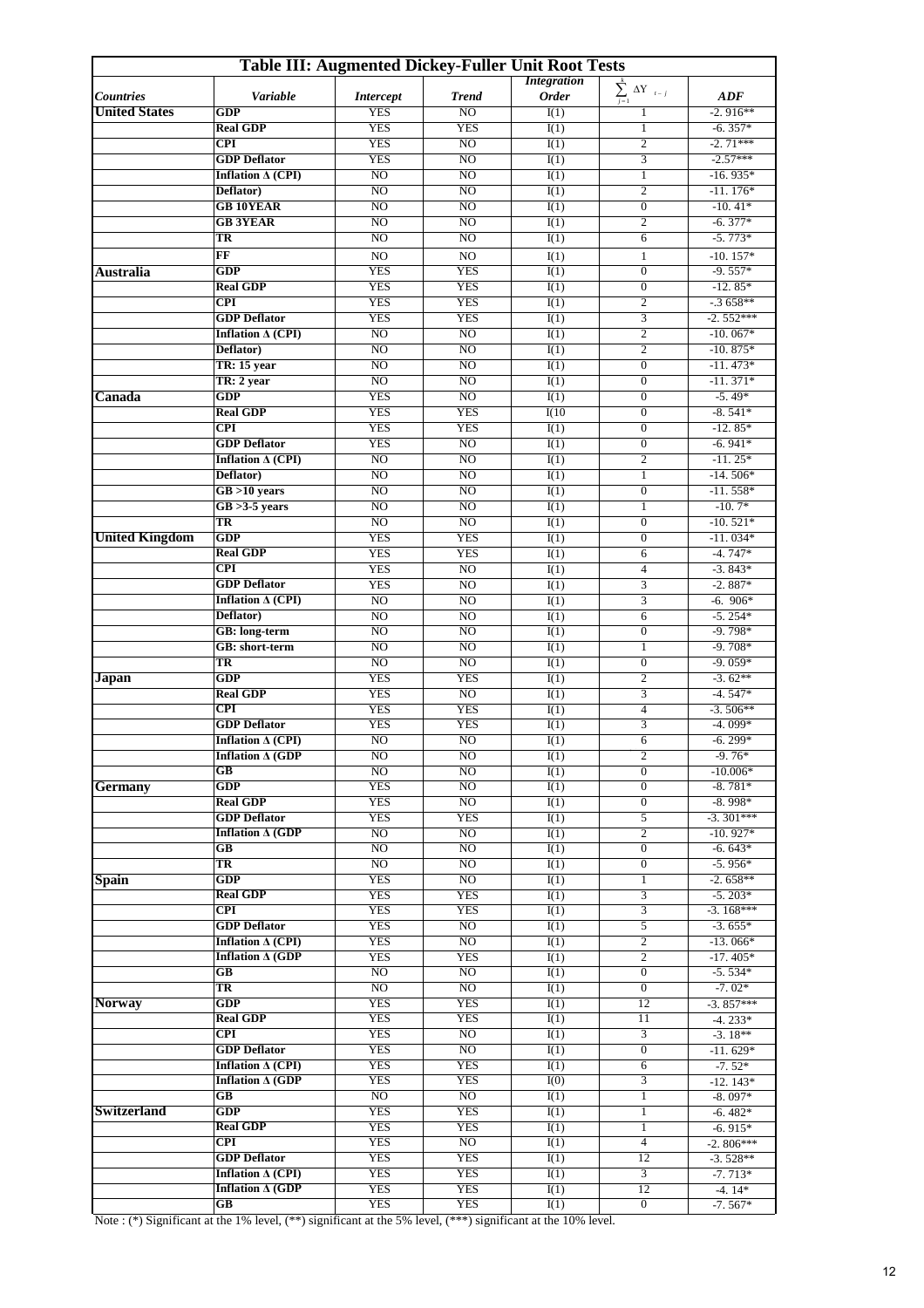| <b>Table III: Augmented Dickey-Fuller Unit Root Tests</b> |                               |                                  |                          |                           |                                  |                         |  |  |  |
|-----------------------------------------------------------|-------------------------------|----------------------------------|--------------------------|---------------------------|----------------------------------|-------------------------|--|--|--|
|                                                           |                               |                                  |                          | <b>Integration</b>        | $\sum_{j=1}^{k} \Delta Y_{t-j}$  |                         |  |  |  |
| <b>Countries</b>                                          | Variable                      | <b>Intercept</b>                 | <b>Trend</b>             | <b>Order</b>              |                                  | ADF                     |  |  |  |
| <b>United States</b>                                      | GDP                           | <b>YES</b>                       | NO                       | I(1)                      | 1                                | $-2.916**$              |  |  |  |
|                                                           | <b>Real GDP</b>               | <b>YES</b>                       | <b>YES</b>               | I(1)                      | $\mathbf{1}$                     | $-6.357*$               |  |  |  |
|                                                           | $\overline{\text{CPI}}$       | <b>YES</b>                       | NO                       | $\overline{I(1)}$         | $\overline{2}$                   | $-2.71***$              |  |  |  |
|                                                           | <b>GDP</b> Deflator           | <b>YES</b>                       | NO                       | I(1)                      | 3                                | $-2.57***$              |  |  |  |
|                                                           | Inflation $\Delta$ (CPI)      | NO.                              | NO                       | $\overline{I(1)}$         | $\mathbf{1}$                     | $-16.935*$              |  |  |  |
|                                                           | Deflator)                     | NO                               | N <sub>O</sub>           | $\overline{I(1)}$         | $\overline{2}$                   | $-11.176*$              |  |  |  |
|                                                           | <b>GB 10YEAR</b>              | N <sub>O</sub>                   | $\overline{NO}$          | I(1)                      | $\boldsymbol{0}$                 | $-10.41*$               |  |  |  |
|                                                           | <b>GB 3YEAR</b>               | NO.                              | NO                       | I(1)                      | $\mathfrak{2}$                   | $-6.377*$               |  |  |  |
|                                                           | TR                            | NO                               | NO                       | I(1)                      | 6                                | $-5.773*$               |  |  |  |
|                                                           | FF                            | NO                               | NO                       | I(1)                      | $\mathbf{1}$                     | $-10.157*$              |  |  |  |
| <b>Australia</b>                                          | <b>GDP</b>                    | <b>YES</b>                       | <b>YES</b>               | I(1)                      | $\boldsymbol{0}$                 | $-9.557*$               |  |  |  |
|                                                           | <b>Real GDP</b>               | <b>YES</b>                       | <b>YES</b>               | $\overline{I(1)}$         | $\boldsymbol{0}$                 | $-12.85*$               |  |  |  |
|                                                           | <b>CPI</b>                    | <b>YES</b>                       | <b>YES</b>               | $\overline{I(1)}$         | $\overline{2}$                   | $-3658**$               |  |  |  |
|                                                           | <b>GDP</b> Deflator           | <b>YES</b>                       | <b>YES</b>               | $\overline{I(1)}$         | 3                                | $-2.552***$             |  |  |  |
|                                                           | Inflation $\Delta$ (CPI)      | N <sub>O</sub>                   | NO                       | I(1)                      | $\mathfrak{2}$                   | $-10.067*$              |  |  |  |
|                                                           | Deflator)                     | N <sub>O</sub>                   | N <sub>O</sub>           | $\overline{I(1)}$         | $\overline{2}$                   | $-10.875*$              |  |  |  |
|                                                           | TR: 15 year                   | N <sub>O</sub><br>N <sub>O</sub> | N <sub>O</sub>           | I(1)                      | $\mathbf{0}$                     | $-11.473*$              |  |  |  |
|                                                           | TR: 2 year                    |                                  | NO                       | $\overline{I(1)}$         | $\boldsymbol{0}$                 | $-11.371*$              |  |  |  |
| Canada                                                    | GDP                           | <b>YES</b>                       | N <sub>O</sub>           | $\overline{I(1)}$         | $\boldsymbol{0}$                 | $-5.49*$<br>$-8.541*$   |  |  |  |
|                                                           | <b>Real GDP</b><br><b>CPI</b> | <b>YES</b><br><b>YES</b>         | <b>YES</b><br><b>YES</b> | I(10<br>$\overline{I(1)}$ | $\boldsymbol{0}$<br>$\mathbf{0}$ | $-12.85*$               |  |  |  |
|                                                           | <b>GDP</b> Deflator           | <b>YES</b>                       | NO                       | $\overline{I(1)}$         | $\boldsymbol{0}$                 | $-6.941*$               |  |  |  |
|                                                           | Inflation $\Delta$ (CPI)      | NO                               | NO                       | $\overline{I(1)}$         | $\mathfrak{2}$                   | $-11.25*$               |  |  |  |
|                                                           | Deflator)                     | NO                               | NO                       | I(1)                      | 1                                | $-14.506*$              |  |  |  |
|                                                           | $GB > 10$ years               | N <sub>O</sub>                   | NO                       | $\overline{I(1)}$         | $\overline{0}$                   | $-11.558*$              |  |  |  |
|                                                           | $GB > 3-5$ years              | N <sub>O</sub>                   | N <sub>O</sub>           | I(1)                      | $\mathbf{1}$                     | $-10.7*$                |  |  |  |
|                                                           | TR                            | NO                               | NO                       | I(1)                      | $\boldsymbol{0}$                 | $-10.521*$              |  |  |  |
| <b>United Kingdom</b>                                     | GDP                           | <b>YES</b>                       | <b>YES</b>               | $\overline{I(1)}$         | $\mathbf{0}$                     | $-11.034*$              |  |  |  |
|                                                           | <b>Real GDP</b>               | <b>YES</b>                       | <b>YES</b>               | $\overline{I(1)}$         | 6                                | $-4.747*$               |  |  |  |
|                                                           | <b>CPI</b>                    | <b>YES</b>                       | NO                       | I(1)                      | $\overline{4}$                   | $-3.843*$               |  |  |  |
|                                                           | <b>GDP</b> Deflator           | <b>YES</b>                       | NO                       | I(1)                      | 3                                | $-2.887*$               |  |  |  |
|                                                           | Inflation $\Delta$ (CPI)      | NO                               | N <sub>O</sub>           | $\overline{I(1)}$         | 3                                | $-6.906*$               |  |  |  |
|                                                           | Deflator)                     | NO                               | NO                       | I(1)                      | 6                                | $-5.254*$               |  |  |  |
|                                                           | GB: long-term                 | NO.                              | NO                       | I(1)                      | $\boldsymbol{0}$                 | $-9.798*$               |  |  |  |
|                                                           | GB: short-term                | N <sub>O</sub>                   | N <sub>O</sub>           | I(1)                      | $\mathbf{1}$                     | $-9.708*$               |  |  |  |
|                                                           | TR                            | NO                               | NO                       | I(1)                      | $\boldsymbol{0}$                 | $-9.059*$               |  |  |  |
| Japan                                                     | <b>GDP</b>                    | <b>YES</b>                       | <b>YES</b>               | $\overline{I(1)}$         | $\mathfrak{2}$                   | $-3.62**$               |  |  |  |
|                                                           | <b>Real GDP</b>               | <b>YES</b>                       | N <sub>O</sub>           | I(1)                      | 3                                | $-4.547*$               |  |  |  |
|                                                           | $\overline{\text{CPI}}$       | <b>YES</b>                       | <b>YES</b>               | $\overline{I(1)}$         | $\overline{4}$                   | $-3.506**$              |  |  |  |
|                                                           | <b>GDP</b> Deflator           | <b>YES</b>                       | <b>YES</b>               | I(1)                      | 3                                | $-4.099*$               |  |  |  |
|                                                           | Inflation $\Delta$ (CPI)      | N <sub>O</sub>                   | N <sub>O</sub>           | I(1)                      | 6                                | $-6.299*$               |  |  |  |
|                                                           | Inflation $\Delta$ (GDP       | NO.                              | NO                       | I(1)                      | $\overline{c}$                   | $-9.76*$                |  |  |  |
|                                                           | $G$ B                         | N <sub>O</sub>                   | N <sub>O</sub>           | I(1)                      | $\overline{0}$                   | $-10.006*$              |  |  |  |
| <b>Germany</b>                                            | GDP                           | <b>YES</b>                       | NO                       | I(1)                      | $\overline{0}$                   | $-8.781*$               |  |  |  |
|                                                           | <b>Real GDP</b>               | <b>YES</b>                       | N <sub>O</sub>           | I(1)                      | $\boldsymbol{0}$                 | $-8.998*$               |  |  |  |
|                                                           | <b>GDP</b> Deflator           | <b>YES</b>                       | <b>YES</b>               | I(1)                      | 5                                | $-3.301***$             |  |  |  |
|                                                           | Inflation $\Delta$ (GDP       | NO.                              | NO.                      | $\overline{I(1)}$         | $\overline{2}$                   | $-10.927*$              |  |  |  |
|                                                           | GВ                            | N <sub>O</sub>                   | N <sub>O</sub>           | I(1)                      | $\boldsymbol{0}$                 | $-6.643*$               |  |  |  |
|                                                           | TR                            | N <sub>O</sub>                   | N <sub>O</sub>           | I(1)                      | $\boldsymbol{0}$                 | $-5.956*$               |  |  |  |
| <b>Spain</b>                                              | GDP                           | <b>YES</b>                       | $\overline{NO}$          | I(1)                      | 1                                | $-2.658**$              |  |  |  |
|                                                           | <b>Real GDP</b>               | <b>YES</b>                       | <b>YES</b>               | I(1)                      | 3                                | $-5.203*$               |  |  |  |
|                                                           | CPI                           | <b>YES</b>                       | <b>YES</b>               | I(1)                      | 3                                | $-3.168***$             |  |  |  |
|                                                           | <b>GDP</b> Deflator           | <b>YES</b>                       | NO                       | $\overline{I(1)}$         | 5                                | $-3.655*$               |  |  |  |
|                                                           | Inflation $\Delta$ (CPI)      | <b>YES</b><br><b>YES</b>         | NO                       | I(1)                      | $\mathfrak{2}$                   | $-13.066*$              |  |  |  |
|                                                           | Inflation $\Delta$ (GDP<br>GB | NO.                              | <b>YES</b><br>NO.        | I(1)                      | $\mathbf{2}$<br>$\mathbf{0}$     | $-17.405*$<br>$-5.534*$ |  |  |  |
|                                                           | TR                            | N <sub>O</sub>                   | NO                       | I(1)                      | $\overline{0}$                   | $-7.02*$                |  |  |  |
| <b>Norway</b>                                             | GDP                           | <b>YES</b>                       | <b>YES</b>               | I(1)                      | 12                               |                         |  |  |  |
|                                                           | <b>Real GDP</b>               | <b>YES</b>                       | <b>YES</b>               | I(1)<br>I(1)              | 11                               | $-3.857***$             |  |  |  |
|                                                           | <b>CPI</b>                    | <b>YES</b>                       | NO                       | I(1)                      | 3                                | $-4.233*$<br>$-3.18**$  |  |  |  |
|                                                           | <b>GDP</b> Deflator           | <b>YES</b>                       | NO                       | I(1)                      | $\overline{0}$                   | $-11.629*$              |  |  |  |
|                                                           | Inflation $\Delta$ (CPI)      | <b>YES</b>                       | <b>YES</b>               | $\overline{I(1)}$         | 6                                | $-7.52*$                |  |  |  |
|                                                           | Inflation $\Delta$ (GDP       | <b>YES</b>                       | <b>YES</b>               | I(0)                      | 3                                | $-12.143*$              |  |  |  |
|                                                           | $G$ <sub>B</sub>              | N <sub>O</sub>                   | N <sub>O</sub>           | I(1)                      | $\mathbf{1}$                     | $-8.097*$               |  |  |  |
| <b>Switzerland</b>                                        | <b>GDP</b>                    | <b>YES</b>                       | <b>YES</b>               | $\overline{I(1)}$         | $\mathbf{1}$                     | $-6.482*$               |  |  |  |
|                                                           | <b>Real GDP</b>               | <b>YES</b>                       | <b>YES</b>               | I(1)                      | 1                                | $-6.915*$               |  |  |  |
|                                                           | <b>CPI</b>                    | <b>YES</b>                       | NO                       | I(1)                      | $\overline{4}$                   | $-2.806***$             |  |  |  |
|                                                           | <b>GDP</b> Deflator           | <b>YES</b>                       | <b>YES</b>               | I(1)                      | 12                               | $-3.528**$              |  |  |  |
|                                                           | Inflation $\Delta$ (CPI)      | <b>YES</b>                       | <b>YES</b>               | I(1)                      | 3                                | $-7.713*$               |  |  |  |
|                                                           | Inflation $\Delta$ (GDP       | <b>YES</b>                       | <b>YES</b>               | I(1)                      | 12                               | $-4.14*$                |  |  |  |
|                                                           | $G$ B                         | <b>YES</b>                       | <b>YES</b>               | I(1)                      | $\boldsymbol{0}$                 | $-7.567*$               |  |  |  |

Note : (\*) Significant at the 1% level, (\*\*) significant at the 5% level, (\*\*\*) significant at the 10% level.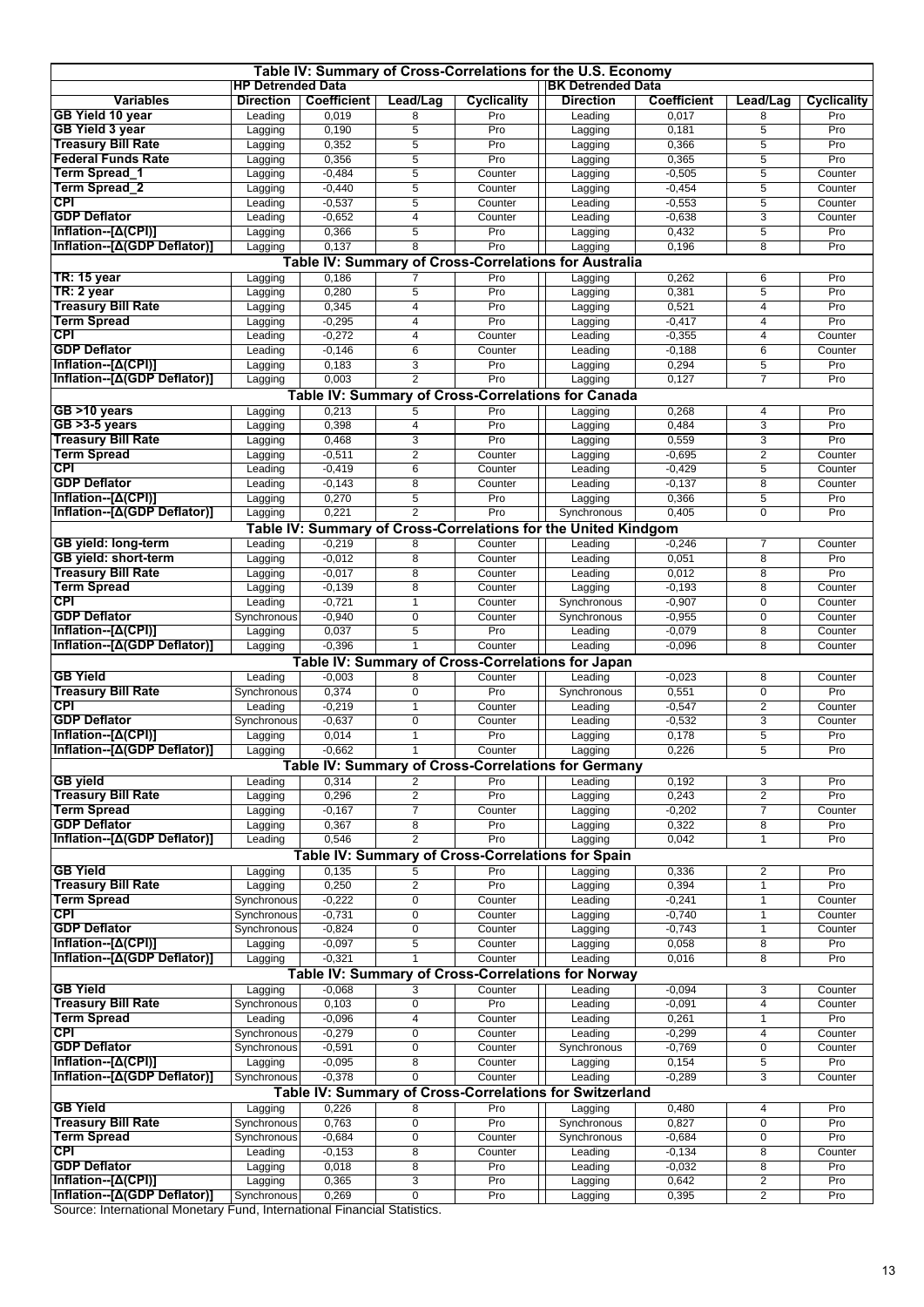|                                                 |                          |                    |                     |                    | Table IV: Summary of Cross-Correlations for the U.S. Economy     |                      |                         |                |
|-------------------------------------------------|--------------------------|--------------------|---------------------|--------------------|------------------------------------------------------------------|----------------------|-------------------------|----------------|
|                                                 | <b>HP Detrended Data</b> |                    |                     |                    | <b>BK Detrended Data</b>                                         |                      |                         |                |
| <b>Variables</b>                                | <b>Direction</b>         | <b>Coefficient</b> | Lead/Lag            | Cyclicality        | <b>Direction</b>                                                 | <b>Coefficient</b>   | Lead/Lag                | Cyclicality    |
| <b>GB Yield 10 year</b>                         | Leading                  | 0,019              | 8                   | Pro                | Leading                                                          | 0,017                | 8                       | Pro            |
| <b>GB Yield 3 year</b>                          | Lagging                  | 0,190              | 5                   | Pro                | Lagging                                                          | 0,181                | 5                       | Pro            |
| <b>Treasury Bill Rate</b>                       | Lagging                  | 0,352              | 5                   | Pro                | Lagging                                                          | 0,366                | 5                       | Pro            |
| <b>Federal Funds Rate</b>                       | Lagging                  | 0,356              | 5                   | Pro                | Lagging                                                          | 0,365                | 5                       | Pro            |
| Term Spread_1                                   | Lagging                  | $-0,484$           | 5                   | Counter            | Lagging                                                          | $-0,505$             | 5                       | Counter        |
| Term Spread_2<br><b>CPI</b>                     | Lagging                  | $-0,440$           | 5                   | Counter            | Lagging                                                          | $-0,454$             | 5                       | Counter        |
| <b>GDP Deflator</b>                             | Leading                  | $-0,537$           | 5<br>$\overline{4}$ | Counter<br>Counter | Leading                                                          | $-0,553$<br>$-0,638$ | 5<br>3                  | Counter        |
| Inflation--[Δ(CPI)]                             | Leading                  | $-0,652$<br>0,366  | 5                   | Pro                | Leading                                                          | 0,432                | 5                       | Counter<br>Pro |
| Inflation--[A(GDP Deflator)]                    | Lagging                  | 0,137              | 8                   | Pro                | Lagging                                                          | 0,196                | 8                       | Pro            |
|                                                 | Lagging                  |                    |                     |                    | Lagging<br>Table IV: Summary of Cross-Correlations for Australia |                      |                         |                |
| <b>TR: 15 year</b>                              |                          | 0,186              |                     | Pro                |                                                                  | 0,262                |                         | Pro            |
| TR: 2 year                                      | Lagging                  | 0,280              | 7<br>5              | Pro                | Lagging                                                          | 0,381                | 6<br>5                  | Pro            |
| <b>Treasury Bill Rate</b>                       | Lagging<br>Lagging       | 0,345              | $\overline{4}$      | Pro                | Lagging<br>Lagging                                               | 0,521                | 4                       | Pro            |
| <b>Term Spread</b>                              | Lagging                  | $-0,295$           | $\overline{4}$      | Pro                | Lagging                                                          | $-0,417$             | 4                       | Pro            |
| <b>CPI</b>                                      | Leading                  | $-0,272$           | $\overline{4}$      | Counter            | Leading                                                          | $-0,355$             | 4                       | Counter        |
| <b>GDP Deflator</b>                             | Leading                  | $-0,146$           | 6                   | Counter            | Leading                                                          | $-0,188$             | 6                       | Counter        |
| Inflation--[Δ(CPI)]                             | Lagging                  | 0,183              | 3                   | Pro                | Lagging                                                          | 0,294                | 5                       | Pro            |
| Inflation--[Δ(GDP Deflator)]                    | Lagging                  | 0,003              | $\overline{2}$      | Pro                | Lagging                                                          | 0,127                | $\overline{7}$          | Pro            |
|                                                 |                          |                    |                     |                    | Table IV: Summary of Cross-Correlations for Canada               |                      |                         |                |
| GB >10 years                                    | Lagging                  | 0,213              | 5                   | Pro                | Lagging                                                          | 0,268                | 4                       | Pro            |
| GB >3-5 years                                   | Lagging                  | 0,398              | 4                   | Pro                | Lagging                                                          | 0,484                | 3                       | Pro            |
| Treasury Bill Rate                              | Lagging                  | 0,468              | 3                   | Pro                | Lagging                                                          | 0,559                | 3                       | Pro            |
| <b>Term Spread</b>                              | Lagging                  | $-0,511$           | $\overline{2}$      | Counter            | Lagging                                                          | $-0,695$             | $\overline{2}$          | Counter        |
| CPI                                             | Leading                  | $-0,419$           | 6                   | Counter            | Leading                                                          | $-0,429$             | 5                       | Counter        |
| <b>GDP Deflator</b>                             | Leading                  | $-0,143$           | 8                   | Counter            | Leading                                                          | $-0,137$             | 8                       | Counter        |
| Inflation--[Δ(CPI)]                             | Lagging                  | 0,270              | 5                   | Pro                | Lagging                                                          | 0,366                | 5                       | Pro            |
| Inflation--[A(GDP Deflator)]                    | Lagging                  | 0,221              | $\overline{2}$      | Pro                | Synchronous                                                      | 0,405                | 0                       | Pro            |
|                                                 |                          |                    |                     |                    | Table IV: Summary of Cross-Correlations for the United Kindgom   |                      |                         |                |
| <b>GB</b> yield: long-term                      | Leading                  | $-0,219$           | 8                   | Counter            | Leading                                                          | $-0,246$             | 7                       | Counter        |
| GB yield: short-term                            | Lagging                  | $-0,012$           | 8                   | Counter            | Leading                                                          | 0,051                | 8                       | Pro            |
| <b>Treasury Bill Rate</b>                       | Lagging                  | $-0,017$           | 8                   | Counter            | Leading                                                          | 0,012                | 8                       | Pro            |
| <b>Term Spread</b>                              | Lagging                  | $-0,139$           | 8                   | Counter            | Lagging                                                          | $-0,193$             | 8                       | Counter        |
| <b>CPI</b>                                      | Leading                  | $-0,721$           | $\mathbf{1}$        | Counter            | Synchronous                                                      | $-0,907$             | 0                       | Counter        |
| <b>GDP Deflator</b>                             | Synchronous              | $-0,940$           | $\mathbf 0$         | Counter            | Synchronous                                                      | $-0,955$             | 0                       | Counter        |
| Inflation--[Δ(CPI)]                             | Lagging                  | 0,037              | $\overline{5}$      | Pro                | Leading                                                          | $-0.079$             | 8                       | Counter        |
| Inflation--[Δ(GDP Deflator)]                    | Lagging                  | $-0,396$           | $\mathbf{1}$        | Counter            | Leading                                                          | $-0,096$             | 8                       | Counter        |
|                                                 |                          |                    |                     |                    | Table IV: Summary of Cross-Correlations for Japan                |                      |                         |                |
| <b>GB Yield</b>                                 | Leading                  | $-0,003$           | 8                   | Counter            | Leading                                                          | $-0,023$             | 8                       | Counter        |
| <b>Treasury Bill Rate</b>                       | Synchronous              | 0,374              | $\mathbf 0$         | Pro                | Synchronous                                                      | 0,551                | 0                       | Pro            |
| <b>CPI</b>                                      | Leading                  | $-0,219$           | $\mathbf{1}$        | Counter            | Leading                                                          | $-0,547$             | 2                       | Counter        |
| <b>GDP Deflator</b>                             | Synchronous              | $-0,637$           | $\mathbf 0$         | Counter            | Leading                                                          | $-0,532$             | 3                       | Counter        |
| Inflation--[Δ(CPI)]                             | Lagging                  | 0,014              | $\mathbf{1}$        | Pro                | Lagging                                                          | 0,178                | 5                       | Pro            |
| Inflation--[Δ(GDP Deflator)]                    | Lagging                  | $-0,662$           | $\mathbf{1}$        | Counter            | Lagging                                                          | 0,226                | $\overline{5}$          | Pro            |
|                                                 |                          |                    |                     |                    | Table IV: Summary of Cross-Correlations for Germany              |                      |                         |                |
| <b>GB</b> yield                                 | Leading                  | 0,314              | 2                   | Pro                | Leading                                                          | 0,192                | 3                       | Pro            |
| <b>Treasury Bill Rate</b><br><b>Term Spread</b> | Lagging                  | 0,296              | $\overline{2}$      | Pro                | Lagging                                                          | 0,243                | 2                       | Pro            |
| <b>GDP Deflator</b>                             | Lagging<br>Lagging       | $-0,167$<br>0,367  | $\overline{7}$<br>8 | Counter<br>Pro     | Lagging                                                          | $-0,202$<br>0,322    | $\overline{7}$<br>8     | Counter<br>Pro |
| Inflation--[A(GDP Deflator)]                    | Leading                  | 0,546              | $\overline{2}$      | Pro                | Lagging<br>Lagging                                               | 0,042                | $\mathbf{1}$            | Pro            |
|                                                 |                          |                    |                     |                    | Table IV: Summary of Cross-Correlations for Spain                |                      |                         |                |
| <b>GB Yield</b>                                 | Lagging                  | 0,135              | 5                   | Pro                | Lagging                                                          | 0,336                | 2                       | Pro            |
| <b>Treasury Bill Rate</b>                       | Lagging                  | 0,250              | $\overline{2}$      | Pro                | Lagging                                                          | 0,394                | $\mathbf{1}$            | Pro            |
| <b>Term Spread</b>                              | Synchronous              | $-0,222$           | $\pmb{0}$           | Counter            | Leading                                                          | $-0,241$             | 1                       | Counter        |
| <b>CPI</b>                                      | Synchronous              | $-0,731$           | $\overline{0}$      | Counter            | Lagging                                                          | $-0,740$             | 1                       | Counter        |
| <b>GDP Deflator</b>                             | Synchronous              | $-0,824$           | $\mathbf 0$         | Counter            | Lagging                                                          | $-0,743$             | 1                       | Counter        |
| Inflation--[Δ(CPI)]                             | Lagging                  | $-0,097$           | $\overline{5}$      | Counter            | Lagging                                                          | 0,058                | 8                       | Pro            |
| Inflation--[Δ(GDP Deflator)]                    | Lagging                  | $-0,321$           | $\overline{1}$      | Counter            | Leading                                                          | 0,016                | 8                       | Pro            |
|                                                 |                          |                    |                     |                    | Table IV: Summary of Cross-Correlations for Norway               |                      |                         |                |
| <b>GB Yield</b>                                 | Lagging                  | $-0,068$           | 3                   | Counter            | Leading                                                          | $-0,094$             | 3                       | Counter        |
| <b>Treasury Bill Rate</b>                       | Synchronous              | 0,103              | $\overline{0}$      | Pro                | Leading                                                          | $-0,091$             | 4                       | Counter        |
| <b>Term Spread</b>                              | Leading                  | $-0,096$           | 4                   | Counter            | Leading                                                          | 0,261                | 1                       | Pro            |
| CPI                                             | Synchronous              | $-0,279$           | $\overline{0}$      | Counter            | Leading                                                          | $-0,299$             | 4                       | Counter        |
| <b>GDP Deflator</b>                             | Synchronous              | $-0,591$           | $\pmb{0}$           | Counter            | Synchronous                                                      | $-0,769$             | 0                       | Counter        |
| Inflation--[Δ(CPI)]                             | Lagging                  | $-0,095$           | $\overline{8}$      | Counter            | Lagging                                                          | 0,154                | 5                       | Pro            |
| Inflation--[Δ(GDP Deflator)]                    | Synchronous              | $-0,378$           | $\overline{0}$      | Counter            | Leading                                                          | $-0,289$             | 3                       | Counter        |
|                                                 |                          |                    |                     |                    | Table IV: Summary of Cross-Correlations for Switzerland          |                      |                         |                |
| <b>GB Yield</b>                                 | Lagging                  | 0,226              | 8                   | Pro                | Lagging                                                          | 0,480                | 4                       | Pro            |
| <b>Treasury Bill Rate</b>                       | Synchronous              | 0,763              | $\pmb{0}$           | Pro                | Synchronous                                                      | 0,827                | 0                       | Pro            |
| <b>Term Spread</b>                              | Synchronous              | $-0,684$           | $\mathbf 0$         | Counter            | Synchronous                                                      | $-0,684$             | 0                       | Pro            |
| CPI                                             | Leading                  | $-0,153$           | $\overline{8}$      | Counter            | Leading                                                          | $-0,134$             | 8                       | Counter        |
| <b>GDP Deflator</b>                             | Lagging                  | 0,018              | 8                   | Pro                | Leading                                                          | $-0,032$             | 8                       | Pro            |
| Inflation--[Δ(CPI)]                             | Lagging                  | 0,365              | 3                   | Pro                | Lagging                                                          | 0,642                | $\overline{\mathbf{c}}$ | Pro            |
| Inflation--[A(GDP Deflator)]                    | Synchronous              | 0,269              | $\mathbf 0$         | Pro                | Lagging                                                          | 0,395                | 2                       | Pro            |

Source: International Monetary Fund, International Financial Statistics.